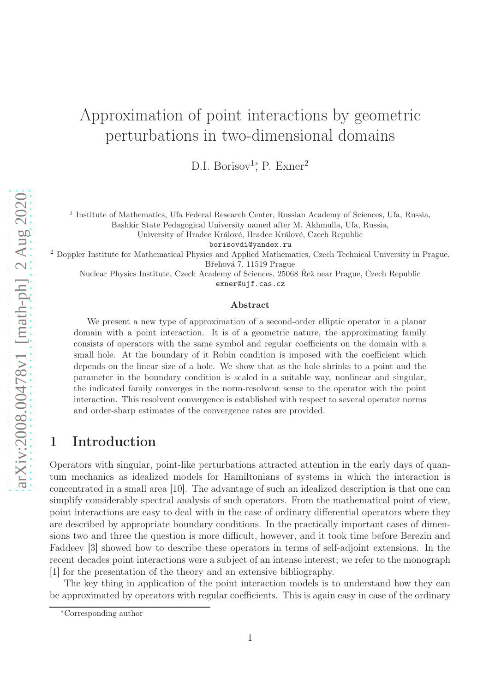# Approximation of point interactions by geometric perturbations in two-dimensional domains

D.I. Borisov<sup>1</sup><sup>\*</sup>, P. Exner<sup>2</sup>

<sup>1</sup> Institute of Mathematics, Ufa Federal Research Center, Russian Academy of Sciences, Ufa, Russia, Bashkir State Pedagogical University named after M. Akhmulla, Ufa, Russia,

University of Hradec Králové, Hradec Králové, Czech Republic

borisovdi@yandex.ru

<sup>2</sup> Doppler Institute for Mathematical Physics and Applied Mathematics, Czech Technical University in Prague, Břehová 7, 11519 Prague

Nuclear Physics Institute, Czech Academy of Sciences, 25068 Řež near Prague, Czech Republic exner@ujf.cas.cz

#### Abstract

We present a new type of approximation of a second-order elliptic operator in a planar domain with a point interaction. It is of a geometric nature, the approximating family consists of operators with the same symbol and regular coefficients on the domain with a small hole. At the boundary of it Robin condition is imposed with the coefficient which depends on the linear size of a hole. We show that as the hole shrinks to a point and the parameter in the boundary condition is scaled in a suitable way, nonlinear and singular, the indicated family converges in the norm-resolvent sense to the operator with the point interaction. This resolvent convergence is established with respect to several operator norms and order-sharp estimates of the convergence rates are provided.

# 1 Introduction

Operators with singular, point-like perturbations attracted attention in the early days of quantum mechanics as idealized models for Hamiltonians of systems in which the interaction is concentrated in a small area [10]. The advantage of such an idealized description is that one can simplify considerably spectral analysis of such operators. From the mathematical point of view, point interactions are easy to deal with in the case of ordinary differential operators where they are described by appropriate boundary conditions. In the practically important cases of dimensions two and three the question is more difficult, however, and it took time before Berezin and Faddeev [3] showed how to describe these operators in terms of self-adjoint extensions. In the recent decades point interactions were a subject of an intense interest; we refer to the monograph [1] for the presentation of the theory and an extensive bibliography.

The key thing in application of the point interaction models is to understand how they can be approximated by operators with regular coefficients. This is again easy in case of the ordinary

<sup>∗</sup>Corresponding author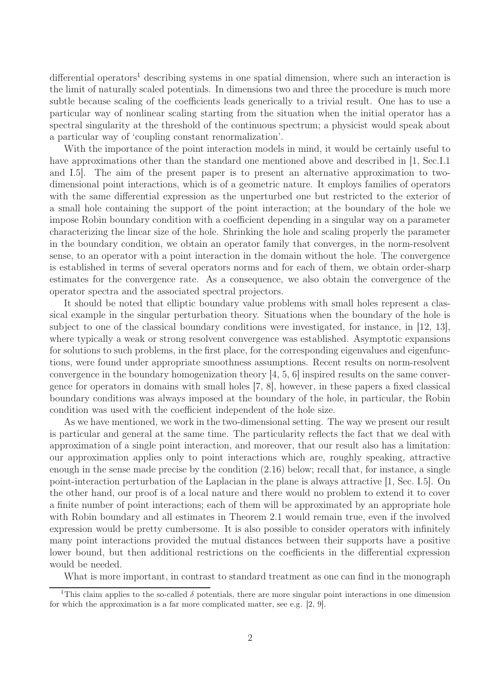$differential$  operators<sup>1</sup> describing systems in one spatial dimension, where such an interaction is the limit of naturally scaled potentials. In dimensions two and three the procedure is much more subtle because scaling of the coefficients leads generically to a trivial result. One has to use a particular way of nonlinear scaling starting from the situation when the initial operator has a spectral singularity at the threshold of the continuous spectrum; a physicist would speak about a particular way of 'coupling constant renormalization'.

With the importance of the point interaction models in mind, it would be certainly useful to have approximations other than the standard one mentioned above and described in [1, Sec.I.1] and I.5]. The aim of the present paper is to present an alternative approximation to twodimensional point interactions, which is of a geometric nature. It employs families of operators with the same differential expression as the unperturbed one but restricted to the exterior of a small hole containing the support of the point interaction; at the boundary of the hole we impose Robin boundary condition with a coefficient depending in a singular way on a parameter characterizing the linear size of the hole. Shrinking the hole and scaling properly the parameter in the boundary condition, we obtain an operator family that converges, in the norm-resolvent sense, to an operator with a point interaction in the domain without the hole. The convergence is established in terms of several operators norms and for each of them, we obtain order-sharp estimates for the convergence rate. As a consequence, we also obtain the convergence of the operator spectra and the associated spectral projectors.

It should be noted that elliptic boundary value problems with small holes represent a classical example in the singular perturbation theory. Situations when the boundary of the hole is subject to one of the classical boundary conditions were investigated, for instance, in [12, 13], where typically a weak or strong resolvent convergence was established. Asymptotic expansions for solutions to such problems, in the first place, for the corresponding eigenvalues and eigenfunctions, were found under appropriate smoothness assumptions. Recent results on norm-resolvent convergence in the boundary homogenization theory [4, 5, 6] inspired results on the same convergence for operators in domains with small holes [7, 8], however, in these papers a fixed classical boundary conditions was always imposed at the boundary of the hole, in particular, the Robin condition was used with the coefficient independent of the hole size.

As we have mentioned, we work in the two-dimensional setting. The way we present our result is particular and general at the same time. The particularity reflects the fact that we deal with approximation of a single point interaction, and moreover, that our result also has a limitation: our approximation applies only to point interactions which are, roughly speaking, attractive enough in the sense made precise by the condition (2.16) below; recall that, for instance, a single point-interaction perturbation of the Laplacian in the plane is always attractive [1, Sec. I.5]. On the other hand, our proof is of a local nature and there would no problem to extend it to cover a finite number of point interactions; each of them will be approximated by an appropriate hole with Robin boundary and all estimates in Theorem 2.1 would remain true, even if the involved expression would be pretty cumbersome. It is also possible to consider operators with infinitely many point interactions provided the mutual distances between their supports have a positive lower bound, but then additional restrictions on the coefficients in the differential expression would be needed.

What is more important, in contrast to standard treatment as one can find in the monograph

<sup>&</sup>lt;sup>1</sup>This claim applies to the so-called  $\delta$  potentials, there are more singular point interactions in one dimension for which the approximation is a far more complicated matter, see e.g. [2, 9].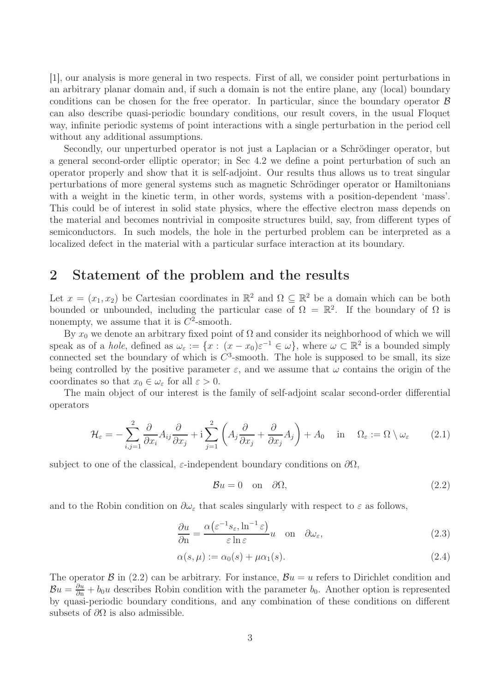[1], our analysis is more general in two respects. First of all, we consider point perturbations in an arbitrary planar domain and, if such a domain is not the entire plane, any (local) boundary conditions can be chosen for the free operator. In particular, since the boundary operator  $\beta$ can also describe quasi-periodic boundary conditions, our result covers, in the usual Floquet way, infinite periodic systems of point interactions with a single perturbation in the period cell without any additional assumptions.

Secondly, our unperturbed operator is not just a Laplacian or a Schrödinger operator, but a general second-order elliptic operator; in Sec 4.2 we define a point perturbation of such an operator properly and show that it is self-adjoint. Our results thus allows us to treat singular perturbations of more general systems such as magnetic Schrödinger operator or Hamiltonians with a weight in the kinetic term, in other words, systems with a position-dependent 'mass'. This could be of interest in solid state physics, where the effective electron mass depends on the material and becomes nontrivial in composite structures build, say, from different types of semiconductors. In such models, the hole in the perturbed problem can be interpreted as a localized defect in the material with a particular surface interaction at its boundary.

## 2 Statement of the problem and the results

Let  $x = (x_1, x_2)$  be Cartesian coordinates in  $\mathbb{R}^2$  and  $\Omega \subseteq \mathbb{R}^2$  be a domain which can be both bounded or unbounded, including the particular case of  $\Omega = \mathbb{R}^2$ . If the boundary of  $\Omega$  is nonempty, we assume that it is  $C^2$ -smooth.

By  $x_0$  we denote an arbitrary fixed point of  $\Omega$  and consider its neighborhood of which we will speak as of a *hole*, defined as  $\omega_{\varepsilon} := \{x : (x - x_0)\varepsilon^{-1} \in \omega\}$ , where  $\omega \subset \mathbb{R}^2$  is a bounded simply connected set the boundary of which is  $C^3$ -smooth. The hole is supposed to be small, its size being controlled by the positive parameter  $\varepsilon$ , and we assume that  $\omega$  contains the origin of the coordinates so that  $x_0 \in \omega_{\varepsilon}$  for all  $\varepsilon > 0$ .

The main object of our interest is the family of self-adjoint scalar second-order differential operators

$$
\mathcal{H}_{\varepsilon} = -\sum_{i,j=1}^{2} \frac{\partial}{\partial x_{i}} A_{ij} \frac{\partial}{\partial x_{j}} + i \sum_{j=1}^{2} \left( A_{j} \frac{\partial}{\partial x_{j}} + \frac{\partial}{\partial x_{j}} A_{j} \right) + A_{0} \quad \text{in} \quad \Omega_{\varepsilon} := \Omega \setminus \omega_{\varepsilon}
$$
 (2.1)

subject to one of the classical,  $\varepsilon$ -independent boundary conditions on  $\partial\Omega$ ,

$$
\mathcal{B}u = 0 \quad \text{on} \quad \partial\Omega,\tag{2.2}
$$

and to the Robin condition on  $\partial \omega_{\varepsilon}$  that scales singularly with respect to  $\varepsilon$  as follows,

$$
\frac{\partial u}{\partial \mathbf{n}} = \frac{\alpha \left(\varepsilon^{-1} s_{\varepsilon}, \ln^{-1} \varepsilon\right)}{\varepsilon \ln \varepsilon} u \quad \text{on} \quad \partial \omega_{\varepsilon},\tag{2.3}
$$

$$
\alpha(s,\mu) := \alpha_0(s) + \mu \alpha_1(s). \tag{2.4}
$$

The operator B in (2.2) can be arbitrary. For instance,  $Bu = u$  refers to Dirichlet condition and  $\mathcal{B}u = \frac{\partial u}{\partial n} + b_0u$  describes Robin condition with the parameter  $b_0$ . Another option is represented by quasi-periodic boundary conditions, and any combination of these conditions on different subsets of  $\partial\Omega$  is also admissible.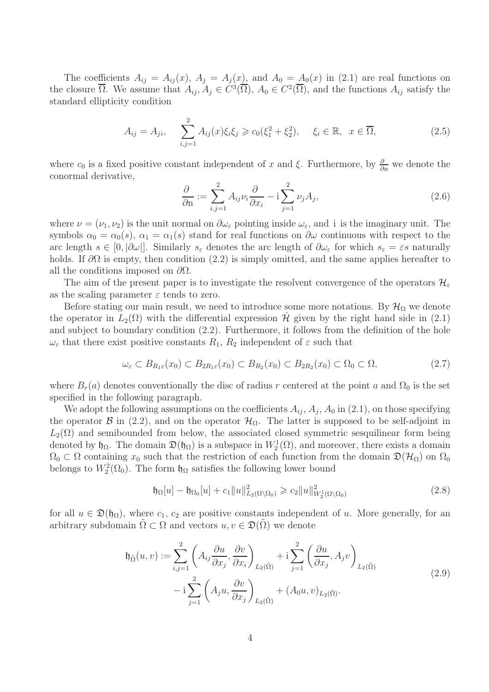The coefficients  $A_{ij} = A_{ij}(x)$ ,  $A_j = A_j(x)$ , and  $A_0 = A_0(x)$  in (2.1) are real functions on the closure  $\overline{\Omega}$ . We assume that  $A_{ij}, A_j \in C^3(\overline{\Omega}), A_0 \in C^2(\overline{\Omega})$ , and the functions  $A_{ij}$  satisfy the standard ellipticity condition

$$
A_{ij} = A_{ji}, \quad \sum_{i,j=1}^{2} A_{ij}(x)\xi_i\xi_j \geq c_0(\xi_1^2 + \xi_2^2), \quad \xi_i \in \mathbb{R}, \ x \in \overline{\Omega}, \tag{2.5}
$$

where  $c_0$  is a fixed positive constant independent of x and  $\xi$ . Furthermore, by  $\frac{\partial}{\partial n}$  we denote the conormal derivative,

$$
\frac{\partial}{\partial n} := \sum_{i,j=1}^{2} A_{ij} \nu_i \frac{\partial}{\partial x_i} - i \sum_{j=1}^{2} \nu_j A_j,
$$
\n(2.6)

where  $\nu = (\nu_1, \nu_2)$  is the unit normal on  $\partial \omega_\varepsilon$  pointing inside  $\omega_\varepsilon$ , and i is the imaginary unit. The symbols  $\alpha_0 = \alpha_0(s)$ ,  $\alpha_1 = \alpha_1(s)$  stand for real functions on  $\partial\omega$  continuous with respect to the arc length  $s \in [0, |\partial \omega|]$ . Similarly  $s_{\varepsilon}$  denotes the arc length of  $\partial \omega_{\varepsilon}$  for which  $s_{\varepsilon} = \varepsilon s$  naturally holds. If  $\partial\Omega$  is empty, then condition (2.2) is simply omitted, and the same applies hereafter to all the conditions imposed on  $\partial\Omega$ .

The aim of the present paper is to investigate the resolvent convergence of the operators  $\mathcal{H}_{\varepsilon}$ as the scaling parameter  $\varepsilon$  tends to zero.

Before stating our main result, we need to introduce some more notations. By  $\mathcal{H}_{\Omega}$  we denote the operator in  $L_2(\Omega)$  with the differential expression  $\mathcal{H}$  given by the right hand side in (2.1) and subject to boundary condition (2.2). Furthermore, it follows from the definition of the hole  $\omega_{\varepsilon}$  that there exist positive constants  $R_1, R_2$  independent of  $\varepsilon$  such that

$$
\omega_{\varepsilon} \subset B_{R_1\varepsilon}(x_0) \subset B_{2R_1\varepsilon}(x_0) \subset B_{R_2}(x_0) \subset B_{2R_2}(x_0) \subset \Omega_0 \subset \Omega,
$$
\n
$$
(2.7)
$$

where  $B_r(a)$  denotes conventionally the disc of radius r centered at the point a and  $\Omega_0$  is the set specified in the following paragraph.

We adopt the following assumptions on the coefficients  $A_{ij}$ ,  $A_j$ ,  $A_0$  in (2.1), on those specifying the operator B in (2.2), and on the operator  $\mathcal{H}_{\Omega}$ . The latter is supposed to be self-adjoint in  $L_2(\Omega)$  and semibounded from below, the associated closed symmetric sesquilinear form being denoted by  $\mathfrak{h}_\Omega$ . The domain  $\mathfrak{D}(\mathfrak{h}_\Omega)$  is a subspace in  $W_2^1(\Omega)$ , and moreover, there exists a domain  $\Omega_0 \subset \Omega$  containing  $x_0$  such that the restriction of each function from the domain  $\mathfrak{D}(\mathcal{H}_\Omega)$  on  $\Omega_0$ belongs to  $W_2^2(\Omega_0)$ . The form  $\mathfrak{h}_{\Omega}$  satisfies the following lower bound

$$
\mathfrak{h}_{\Omega}[u] - \mathfrak{h}_{\Omega_0}[u] + c_1 \|u\|_{L_2(\Omega \setminus \Omega_0)}^2 \ge c_2 \|u\|_{W_2^1(\Omega \setminus \Omega_0)}^2
$$
\n(2.8)

for all  $u \in \mathfrak{D}(\mathfrak{h}_{\Omega})$ , where  $c_1, c_2$  are positive constants independent of u. More generally, for an arbitrary subdomain  $\tilde{\Omega} \subset \Omega$  and vectors  $u, v \in \mathfrak{D}(\tilde{\Omega})$  we denote

$$
\mathfrak{h}_{\tilde{\Omega}}(u,v) := \sum_{i,j=1}^{2} \left( A_{ij} \frac{\partial u}{\partial x_j}, \frac{\partial v}{\partial x_i} \right)_{L_2(\tilde{\Omega})} + \mathbf{i} \sum_{j=1}^{2} \left( \frac{\partial u}{\partial x_j}, A_j v \right)_{L_2(\tilde{\Omega})} \n- \mathbf{i} \sum_{j=1}^{2} \left( A_j u, \frac{\partial v}{\partial x_j} \right)_{L_2(\tilde{\Omega})} + (A_0 u, v)_{L_2(\tilde{\Omega})}.
$$
\n(2.9)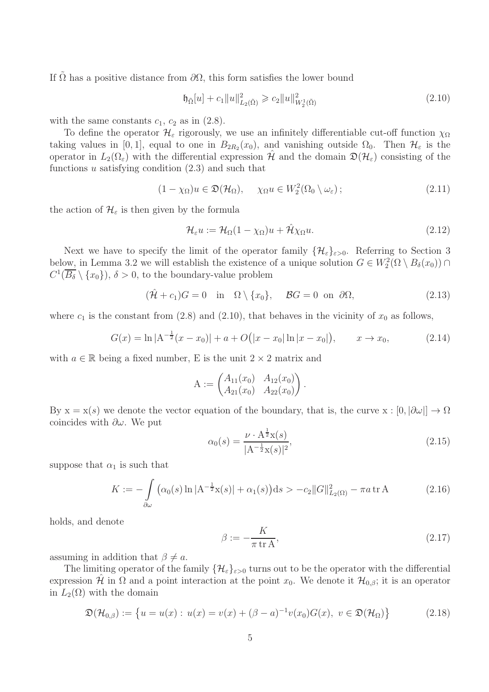If  $\Omega$  has a positive distance from  $\partial\Omega$ , this form satisfies the lower bound

$$
\mathfrak{h}_{\bar{\Omega}}[u] + c_1 \|u\|_{L_2(\bar{\Omega})}^2 \geqslant c_2 \|u\|_{W_2(\bar{\Omega})}^2 \tag{2.10}
$$

with the same constants  $c_1$ ,  $c_2$  as in (2.8).

To define the operator  $\mathcal{H}_{\varepsilon}$  rigorously, we use an infinitely differentiable cut-off function  $\chi_{\Omega}$ taking values in [0, 1], equal to one in  $B_{2R_2}(x_0)$ , and vanishing outside  $\Omega_0$ . Then  $\mathcal{H}_{\varepsilon}$  is the operator in  $L_2(\Omega_\varepsilon)$  with the differential expression  $\hat{\mathcal{H}}$  and the domain  $\mathfrak{D}(\mathcal{H}_\varepsilon)$  consisting of the functions u satisfying condition  $(2.3)$  and such that

$$
(1 - \chi_{\Omega})u \in \mathfrak{D}(\mathcal{H}_{\Omega}), \quad \chi_{\Omega}u \in W_2^2(\Omega_0 \setminus \omega_{\varepsilon}); \tag{2.11}
$$

the action of  $\mathcal{H}_{\varepsilon}$  is then given by the formula

$$
\mathcal{H}_{\varepsilon}u := \mathcal{H}_{\Omega}(1 - \chi_{\Omega})u + \hat{\mathcal{H}}\chi_{\Omega}u.
$$
\n(2.12)

Next we have to specify the limit of the operator family  $\{\mathcal{H}_{\varepsilon}\}_{{\varepsilon}>0}$ . Referring to Section 3 below, in Lemma 3.2 we will establish the existence of a unique solution  $G \in W_2^2(\Omega \setminus B_\delta(x_0)) \cap$  $C^1(\overline{B_\delta} \setminus \{x_0\}), \delta > 0$ , to the boundary-value problem

 $(\hat{\mathcal{H}} + c_1)G = 0$  in  $\Omega \setminus \{x_0\}, \quad \mathcal{B}G = 0$  on  $\partial\Omega,$  (2.13)

.

where  $c_1$  is the constant from (2.8) and (2.10), that behaves in the vicinity of  $x_0$  as follows,

$$
G(x) = \ln |A^{-\frac{1}{2}}(x - x_0)| + a + O(|x - x_0| \ln |x - x_0|), \qquad x \to x_0,
$$
 (2.14)

with  $a \in \mathbb{R}$  being a fixed number, E is the unit  $2 \times 2$  matrix and

$$
A := \begin{pmatrix} A_{11}(x_0) & A_{12}(x_0) \\ A_{21}(x_0) & A_{22}(x_0) \end{pmatrix}
$$

By  $x = x(s)$  we denote the vector equation of the boundary, that is, the curve  $x : [0, |\partial \omega|] \to \Omega$ coincides with  $\partial \omega$ . We put

$$
\alpha_0(s) = \frac{\nu \cdot A^{\frac{1}{2}} x(s)}{|A^{-\frac{1}{2}} x(s)|^2},\tag{2.15}
$$

suppose that  $\alpha_1$  is such that

$$
K := -\int_{\partial \omega} \left( \alpha_0(s) \ln |A^{-\frac{1}{2}} x(s)| + \alpha_1(s) \right) ds > -c_2 \|G\|_{L_2(\Omega)}^2 - \pi a \, \text{tr}\, A \tag{2.16}
$$

holds, and denote

$$
\beta := -\frac{K}{\pi \operatorname{tr} A},\tag{2.17}
$$

assuming in addition that  $\beta \neq a$ .

The limiting operator of the family  $\{\mathcal{H}_{\varepsilon}\}_{{\varepsilon}>0}$  turns out to be the operator with the differential expression  $\mathcal{H}$  in  $\Omega$  and a point interaction at the point  $x_0$ . We denote it  $\mathcal{H}_{0,\beta}$ ; it is an operator in  $L_2(\Omega)$  with the domain

$$
\mathfrak{D}(\mathcal{H}_{0,\beta}) := \left\{ u = u(x) : u(x) = v(x) + (\beta - a)^{-1} v(x_0) G(x), \ v \in \mathfrak{D}(\mathcal{H}_{\Omega}) \right\}
$$
(2.18)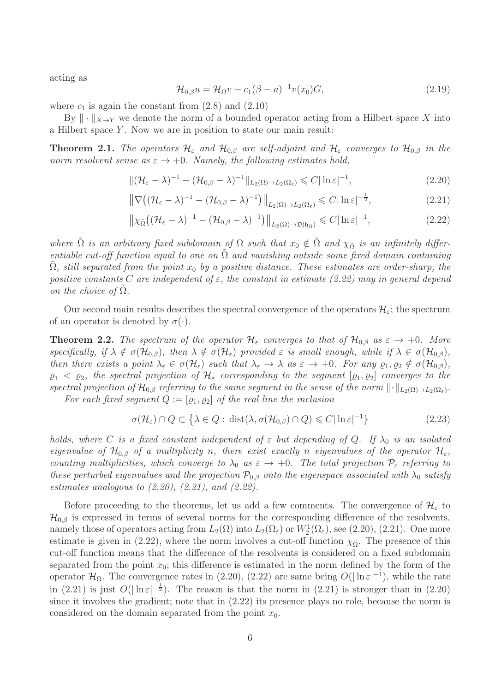acting as

$$
\mathcal{H}_{0,\beta}u = \mathcal{H}_{\Omega}v - c_1(\beta - a)^{-1}v(x_0)G,
$$
\n(2.19)

where  $c_1$  is again the constant from  $(2.8)$  and  $(2.10)$ 

By  $\|\cdot\|_{X\to Y}$  we denote the norm of a bounded operator acting from a Hilbert space X into a Hilbert space  $Y$ . Now we are in position to state our main result:

**Theorem 2.1.** The operators  $\mathcal{H}_{\varepsilon}$  and  $\mathcal{H}_{0,\beta}$  are self-adjoint and  $\mathcal{H}_{\varepsilon}$  converges to  $\mathcal{H}_{0,\beta}$  in the norm resolvent sense as  $\varepsilon \to +0$ . Namely, the following estimates hold,

$$
\|(\mathcal{H}_{\varepsilon} - \lambda)^{-1} - (\mathcal{H}_{0,\beta} - \lambda)^{-1}\|_{L_2(\Omega) \to L_2(\Omega_{\varepsilon})} \leq C |\ln \varepsilon|^{-1},
$$
\n(2.20)

$$
\left\|\nabla \left((\mathcal{H}_{\varepsilon} - \lambda)^{-1} - (\mathcal{H}_{0,\beta} - \lambda)^{-1}\right)\right\|_{L_2(\Omega) \to L_2(\Omega_{\varepsilon})} \leqslant C |\ln \varepsilon|^{-\frac{1}{2}},\tag{2.21}
$$

$$
\left\| \chi_{\tilde{\Omega}} \left( (\mathcal{H}_{\varepsilon} - \lambda)^{-1} - (\mathcal{H}_{0,\beta} - \lambda)^{-1} \right) \right\|_{L_2(\Omega) \to \mathfrak{D}(\mathfrak{h}_{\Omega})} \leqslant C |\ln \varepsilon|^{-1}, \tag{2.22}
$$

where  $\tilde{\Omega}$  is an arbitrary fixed subdomain of  $\Omega$  such that  $x_0 \notin \tilde{\Omega}$  and  $\chi_{\tilde{\Omega}}$  is an infinitely differentiable cut-off function equal to one on  $\Omega$  and vanishing outside some fixed domain containing  $\Omega$ , still separated from the point  $x_0$  by a positive distance. These estimates are order-sharp; the positive constants C are independent of  $\varepsilon$ , the constant in estimate (2.22) may in general depend on the choice of  $\Omega$ .

Our second main results describes the spectral convergence of the operators  $\mathcal{H}_{\varepsilon}$ ; the spectrum of an operator is denoted by  $\sigma(\cdot)$ .

**Theorem 2.2.** The spectrum of the operator  $\mathcal{H}_{\varepsilon}$  converges to that of  $\mathcal{H}_{0,\beta}$  as  $\varepsilon \to +0$ . More specifically, if  $\lambda \notin \sigma(\mathcal{H}_{0,\beta})$ , then  $\lambda \notin \sigma(\mathcal{H}_{\varepsilon})$  provided  $\varepsilon$  is small enough, while if  $\lambda \in \sigma(\mathcal{H}_{0,\beta})$ , then there exists a point  $\lambda_{\varepsilon} \in \sigma(\mathcal{H}_{\varepsilon})$  such that  $\lambda_{\varepsilon} \to \lambda$  as  $\varepsilon \to +0$ . For any  $\varrho_1, \varrho_2 \notin \sigma(\mathcal{H}_{0,\beta})$ ,  $\varrho_1 < \varrho_2$ , the spectral projection of  $\mathcal{H}_{\varepsilon}$  corresponding to the segment  $[\varrho_1, \varrho_2]$  converges to the spectral projection of  $\mathcal{H}_{0,\beta}$  referring to the same segment in the sense of the norm  $\|\cdot\|_{L_2(\Omega)\to L_2(\Omega_\varepsilon)}$ . For each fixed segment  $Q := [\varrho_1, \varrho_2]$  of the real line the inclusion

$$
\sigma(\mathcal{H}_{\varepsilon}) \cap Q \subset \left\{ \lambda \in Q : \text{dist}(\lambda, \sigma(\mathcal{H}_{0,\beta}) \cap Q) \leq C |\ln \varepsilon|^{-1} \right\}
$$
\n(2.23)

holds, where C is a fixed constant independent of  $\varepsilon$  but depending of Q. If  $\lambda_0$  is an isolated eigenvalue of  $\mathcal{H}_{0,\beta}$  of a multiplicity n, there exist exactly n eigenvalues of the operator  $\mathcal{H}_{\varepsilon}$ , counting multiplicities, which converge to  $\lambda_0$  as  $\varepsilon \to +0$ . The total projection  $\mathcal{P}_{\varepsilon}$  referring to these perturbed eigenvalues and the projection  $P_{0,\beta}$  onto the eigenspace associated with  $\lambda_0$  satisfy estimates analogous to  $(2.20)$ ,  $(2.21)$ , and  $(2.22)$ .

Before proceeding to the theorems, let us add a few comments. The convergence of  $\mathcal{H}_{\varepsilon}$  to  $\mathcal{H}_{0,\beta}$  is expressed in terms of several norms for the corresponding difference of the resolvents, namely those of operators acting from  $L_2(\Omega)$  into  $L_2(\Omega_\varepsilon)$  or  $W_2^1(\Omega_\varepsilon)$ , see (2.20), (2.21). One more estimate is given in (2.22), where the norm involves a cut-off function  $\chi_{\tilde{Q}}$ . The presence of this cut-off function means that the difference of the resolvents is considered on a fixed subdomain separated from the point  $x_0$ ; this difference is estimated in the norm defined by the form of the operator  $\mathcal{H}_{\Omega}$ . The convergence rates in (2.20), (2.22) are same being  $O(|\ln \varepsilon|^{-1})$ , while the rate in (2.21) is just  $O(|\ln \varepsilon|^{-\frac{1}{2}})$ . The reason is that the norm in (2.21) is stronger than in (2.20) since it involves the gradient; note that in (2.22) its presence plays no role, because the norm is considered on the domain separated from the point  $x_0$ .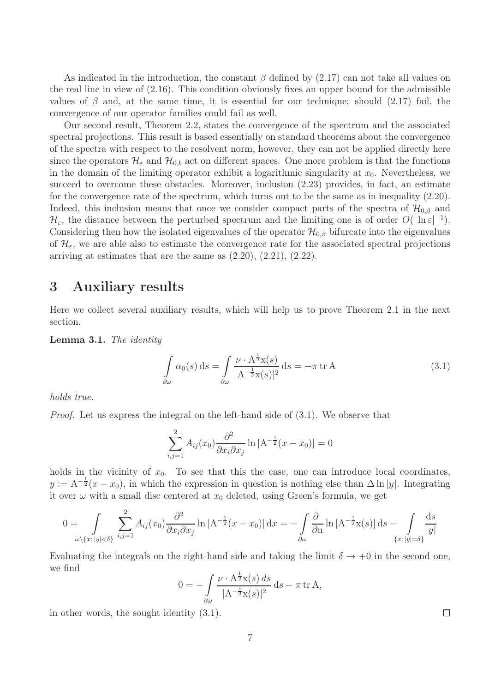As indicated in the introduction, the constant  $\beta$  defined by (2.17) can not take all values on the real line in view of  $(2.16)$ . This condition obviously fixes an upper bound for the admissible values of  $\beta$  and, at the same time, it is essential for our technique; should (2.17) fail, the convergence of our operator families could fail as well.

Our second result, Theorem 2.2, states the convergence of the spectrum and the associated spectral projections. This result is based essentially on standard theorems about the convergence of the spectra with respect to the resolvent norm, however, they can not be applied directly here since the operators  $\mathcal{H}_{\varepsilon}$  and  $\mathcal{H}_{0,b}$  act on different spaces. One more problem is that the functions in the domain of the limiting operator exhibit a logarithmic singularity at  $x_0$ . Nevertheless, we succeed to overcome these obstacles. Moreover, inclusion (2.23) provides, in fact, an estimate for the convergence rate of the spectrum, which turns out to be the same as in inequality (2.20). Indeed, this inclusion means that once we consider compact parts of the spectra of  $\mathcal{H}_{0,\beta}$  and  $\mathcal{H}_{\varepsilon}$ , the distance between the perturbed spectrum and the limiting one is of order  $O(|\ln \varepsilon|^{-1})$ . Considering then how the isolated eigenvalues of the operator  $\mathcal{H}_{0,\beta}$  bifurcate into the eigenvalues of  $\mathcal{H}_{\varepsilon}$ , we are able also to estimate the convergence rate for the associated spectral projections arriving at estimates that are the same as  $(2.20)$ ,  $(2.21)$ ,  $(2.22)$ .

# 3 Auxiliary results

Here we collect several auxiliary results, which will help us to prove Theorem 2.1 in the next section.

Lemma 3.1. The identity

$$
\int_{\partial \omega} \alpha_0(s) ds = \int_{\partial \omega} \frac{\nu \cdot A^{\frac{1}{2}} x(s)}{|A^{-\frac{1}{2}} x(s)|^2} ds = -\pi \operatorname{tr} A \tag{3.1}
$$

holds true.

Proof. Let us express the integral on the left-hand side of (3.1). We observe that

$$
\sum_{i,j=1}^{2} A_{ij}(x_0) \frac{\partial^2}{\partial x_i \partial x_j} \ln |A^{-\frac{1}{2}}(x - x_0)| = 0
$$

holds in the vicinity of  $x_0$ . To see that this the case, one can introduce local coordinates,  $y := A^{-\frac{1}{2}}(x - x_0)$ , in which the expression in question is nothing else than  $\Delta \ln |y|$ . Integrating it over  $\omega$  with a small disc centered at  $x_0$  deleted, using Green's formula, we get

$$
0 = \int_{\omega \setminus \{x: |y| < \delta\}} \sum_{i,j=1}^2 A_{ij}(x_0) \frac{\partial^2}{\partial x_i \partial x_j} \ln |A^{-\frac{1}{2}}(x - x_0)| \, dx = -\int_{\partial \omega} \frac{\partial}{\partial n} \ln |A^{-\frac{1}{2}}x(s)| \, ds - \int_{\{x: |y| = \delta\}} \frac{ds}{|y|}
$$

Evaluating the integrals on the right-hand side and taking the limit  $\delta \to +0$  in the second one, we find

$$
0 = -\int_{\partial \omega} \frac{\nu \cdot A^{\frac{1}{2}} x(s) ds}{|A^{-\frac{1}{2}} x(s)|^2} ds - \pi \operatorname{tr} A,
$$

in other words, the sought identity (3.1).

□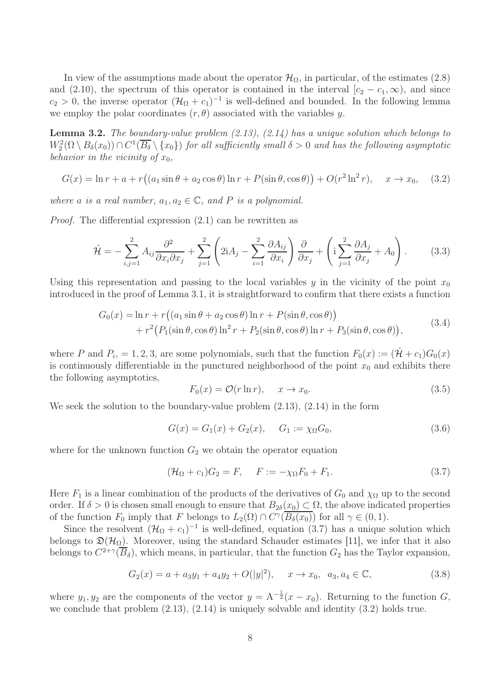In view of the assumptions made about the operator  $\mathcal{H}_{\Omega}$ , in particular, of the estimates (2.8) and (2.10), the spectrum of this operator is contained in the interval  $[c_2 - c_1, \infty)$ , and since  $c_2 > 0$ , the inverse operator  $(\mathcal{H}_{\Omega} + c_1)^{-1}$  is well-defined and bounded. In the following lemma we employ the polar coordinates  $(r, \theta)$  associated with the variables y.

**Lemma 3.2.** The boundary-value problem  $(2.13)$ ,  $(2.14)$  has a unique solution which belongs to  $W_2^2(\Omega \setminus B_\delta(x_0)) \cap C^1(\overline{B_\delta} \setminus \{x_0\})$  for all sufficiently small  $\delta > 0$  and has the following asymptotic behavior in the vicinity of  $x_0$ ,

$$
G(x) = \ln r + a + r\left(\left(a_1 \sin \theta + a_2 \cos \theta\right) \ln r + P(\sin \theta, \cos \theta)\right) + O(r^2 \ln^2 r), \quad x \to x_0,\tag{3.2}
$$

where a is a real number,  $a_1, a_2 \in \mathbb{C}$ , and P is a polynomial.

Proof. The differential expression (2.1) can be rewritten as

$$
\hat{\mathcal{H}} = -\sum_{i,j=1}^{2} A_{ij} \frac{\partial^2}{\partial x_i \partial x_j} + \sum_{j=1}^{2} \left( 2iA_j - \sum_{i=1}^{2} \frac{\partial A_{ij}}{\partial x_i} \right) \frac{\partial}{\partial x_j} + \left( i \sum_{j=1}^{2} \frac{\partial A_j}{\partial x_j} + A_0 \right). \tag{3.3}
$$

Using this representation and passing to the local variables y in the vicinity of the point  $x_0$ introduced in the proof of Lemma 3.1, it is straightforward to confirm that there exists a function

$$
G_0(x) = \ln r + r((a_1 \sin \theta + a_2 \cos \theta) \ln r + P(\sin \theta, \cos \theta))
$$
  
+ 
$$
r^2 (P_1(\sin \theta, \cos \theta) \ln^2 r + P_2(\sin \theta, \cos \theta) \ln r + P_3(\sin \theta, \cos \theta)),
$$
 (3.4)

where P and  $P_i = 1, 2, 3$ , are some polynomials, such that the function  $F_0(x) := (\hat{\mathcal{H}} + c_1)G_0(x)$ is continuously differentiable in the punctured neighborhood of the point  $x_0$  and exhibits there the following asymptotics,

$$
F_0(x) = \mathcal{O}(r \ln r), \quad x \to x_0. \tag{3.5}
$$

We seek the solution to the boundary-value problem  $(2.13)$ ,  $(2.14)$  in the form

$$
G(x) = G_1(x) + G_2(x), \quad G_1 := \chi_{\Omega} G_0,
$$
\n(3.6)

where for the unknown function  $G_2$  we obtain the operator equation

$$
(\mathcal{H}_{\Omega} + c_1)G_2 = F, \quad F := -\chi_{\Omega}F_0 + F_1.
$$
\n(3.7)

Here  $F_1$  is a linear combination of the products of the derivatives of  $G_0$  and  $\chi_{\Omega}$  up to the second order. If  $\delta > 0$  is chosen small enough to ensure that  $B_{2\delta}(x_0) \subset \Omega$ , the above indicated properties of the function  $F_0$  imply that F belongs to  $L_2(\Omega) \cap C^{\gamma}(\overline{B_{\delta}(x_0)})$  for all  $\gamma \in (0,1)$ .

Since the resolvent  $(\mathcal{H}_{\Omega} + c_1)^{-1}$  is well-defined, equation (3.7) has a unique solution which belongs to  $\mathfrak{D}(\mathcal{H}_{\Omega})$ . Moreover, using the standard Schauder estimates [11], we infer that it also belongs to  $C^{2+\gamma}(\overline{B}_{\delta})$ , which means, in particular, that the function  $G_2$  has the Taylor expansion,

$$
G_2(x) = a + a_3y_1 + a_4y_2 + O(|y|^2), \quad x \to x_0, \ a_3, a_4 \in \mathbb{C}, \tag{3.8}
$$

where  $y_1, y_2$  are the components of the vector  $y = A^{-\frac{1}{2}}(x - x_0)$ . Returning to the function G, we conclude that problem (2.13), (2.14) is uniquely solvable and identity (3.2) holds true.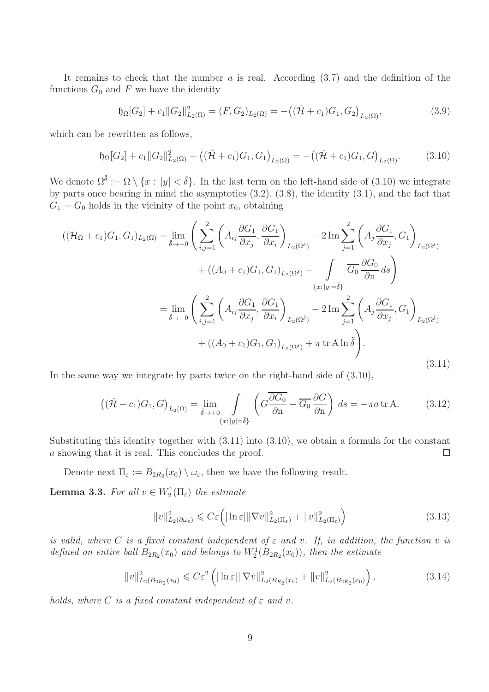It remains to check that the number  $a$  is real. According  $(3.7)$  and the definition of the functions  $G_0$  and F we have the identity

$$
\mathfrak{h}_{\Omega}[G_2] + c_1 \|G_2\|_{L_2(\Omega)}^2 = (F, G_2)_{L_2(\Omega)} = -((\hat{\mathcal{H}} + c_1)G_1, G_2)_{L_2(\Omega)},
$$
\n(3.9)

which can be rewritten as follows,

$$
\mathfrak{h}_{\Omega}[G_2] + c_1 \|G_2\|_{L_2(\Omega)}^2 - \left( (\hat{\mathcal{H}} + c_1)G_1, G_1 \right)_{L_2(\Omega)} = -\left( (\hat{\mathcal{H}} + c_1)G_1, G \right)_{L_2(\Omega)}.
$$
 (3.10)

We denote  $\Omega^{\tilde{\delta}} := \Omega \setminus \{x : |y| < \tilde{\delta}\}.$  In the last term on the left-hand side of (3.10) we integrate by parts once bearing in mind the asymptotics (3.2), (3.8), the identity (3.1), and the fact that  $G_1 = G_0$  holds in the vicinity of the point  $x_0$ , obtaining

$$
\begin{split} \left( (\mathcal{H}_{\Omega} + c_1) G_1, G_1 \right) L_2(\Omega) &= \lim_{\tilde{\delta} \to +0} \left( \sum_{i,j=1}^2 \left( A_{ij} \frac{\partial G_1}{\partial x_j}, \frac{\partial G_1}{\partial x_i} \right)_{L_2(\Omega^{\tilde{\delta}})} - 2 \operatorname{Im} \sum_{j=1}^2 \left( A_j \frac{\partial G_1}{\partial x_j}, G_1 \right)_{L_2(\Omega^{\tilde{\delta}})} \\ &+ \left( (A_0 + c_1) G_1, G_1 \right)_{L_2(\Omega^{\tilde{\delta}})} - \int_{\{x : |y| = \tilde{\delta}\}} \overline{G_0} \frac{\partial G_0}{\partial n} ds \right) \\ &= \lim_{\tilde{\delta} \to +0} \left( \sum_{i,j=1}^2 \left( A_{ij} \frac{\partial G_1}{\partial x_j}, \frac{\partial G_1}{\partial x_i} \right)_{L_2(\Omega^{\tilde{\delta}})} - 2 \operatorname{Im} \sum_{j=1}^2 \left( A_j \frac{\partial G_1}{\partial x_j}, G_1 \right)_{L_2(\Omega^{\tilde{\delta}})} \\ &+ \left( (A_0 + c_1) G_1, G_1 \right)_{L_2(\Omega^{\tilde{\delta}})} + \pi \operatorname{tr} A \ln \tilde{\delta} \right). \end{split} \tag{3.11}
$$

In the same way we integrate by parts twice on the right-hand side of (3.10),

$$
\left( (\hat{\mathcal{H}} + c_1) G_1, G \right)_{L_2(\Omega)} = \lim_{\tilde{\delta} \to +0} \int_{\{x : |y| = \tilde{\delta}\}} \left( G \frac{\overline{\partial G_0}}{\partial n} - \overline{G_0} \frac{\partial G}{\partial n} \right) ds = -\pi a \, \text{tr} \, \text{A}.
$$
 (3.12)

Substituting this identity together with (3.11) into (3.10), we obtain a formula for the constant a showing that it is real. This concludes the proof. □

Denote next  $\Pi_{\varepsilon} := B_{2R_2}(x_0) \setminus \omega_{\varepsilon}$ , then we have the following result.

**Lemma 3.3.** For all  $v \in W_2^1(\Pi_\varepsilon)$  the estimate

$$
||v||_{L_2(\partial\omega_{\varepsilon})}^2 \leqslant C\varepsilon \left( |\ln \varepsilon| ||\nabla v||_{L_2(\Pi_{\varepsilon})}^2 + ||v||_{L_2(\Pi_{\varepsilon})}^2 \right) \tag{3.13}
$$

is valid, where C is a fixed constant independent of  $\varepsilon$  and v. If, in addition, the function v is defined on entire ball  $B_{2R_2}(x_0)$  and belongs to  $W_2^1(B_{2R_2}(x_0))$ , then the estimate

$$
||v||_{L_2(B_{2R_2}(x_0)}^2 \leqslant C\varepsilon^2 \left( |\ln \varepsilon| ||\nabla v||_{L_2(B_{R_2}(x_0)}^2 + ||v||_{L_2(B_{2R_2}(x_0)}^2 \right),
$$
\n(3.14)

holds, where C is a fixed constant independent of  $\varepsilon$  and v.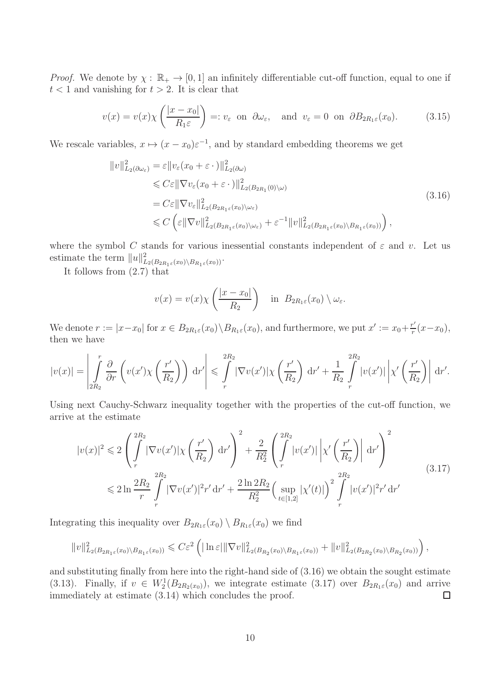*Proof.* We denote by  $\chi : \mathbb{R}_+ \to [0, 1]$  an infinitely differentiable cut-off function, equal to one if  $t < 1$  and vanishing for  $t > 2$ . It is clear that

$$
v(x) = v(x)\chi\left(\frac{|x - x_0|}{R_1\varepsilon}\right) =: v_{\varepsilon} \text{ on } \partial\omega_{\varepsilon}, \text{ and } v_{\varepsilon} = 0 \text{ on } \partial B_{2R_1\varepsilon}(x_0). \tag{3.15}
$$

We rescale variables,  $x \mapsto (x - x_0) \varepsilon^{-1}$ , and by standard embedding theorems we get

$$
\|v\|_{L_2(\partial\omega_{\varepsilon})}^2 = \varepsilon \|v_{\varepsilon}(x_0 + \varepsilon \cdot)\|_{L_2(\partial\omega)}^2
$$
  
\n
$$
\leq C\varepsilon \|\nabla v_{\varepsilon}(x_0 + \varepsilon \cdot)\|_{L_2(B_{2R_1}(0)\setminus\omega)}^2
$$
  
\n
$$
= C\varepsilon \|\nabla v_{\varepsilon}\|_{L_2(B_{2R_1\varepsilon}(x_0)\setminus\omega_{\varepsilon})}^2
$$
  
\n
$$
\leq C \left(\varepsilon \|\nabla v\|_{L_2(B_{2R_1\varepsilon}(x_0)\setminus\omega_{\varepsilon})}^2 + \varepsilon^{-1} \|v\|_{L_2(B_{2R_1\varepsilon}(x_0)\setminus B_{R_1\varepsilon}(x_0))}^2\right),
$$
\n(3.16)

where the symbol C stands for various inessential constants independent of  $\varepsilon$  and v. Let us estimate the term  $||u||_{L_2(B_{2R_1\varepsilon}(x_0)\setminus B_{R_1\varepsilon}(x_0))}^2$ .

It follows from (2.7) that

$$
v(x) = v(x)\chi\left(\frac{|x - x_0|}{R_2}\right) \quad \text{in} \ \ B_{2R_1\varepsilon}(x_0) \setminus \omega_{\varepsilon}.
$$

We denote  $r := |x-x_0|$  for  $x \in B_{2R_1\varepsilon}(x_0) \setminus B_{R_1\varepsilon}(x_0)$ , and furthermore, we put  $x' := x_0 + \frac{r'}{r}$  $\frac{r'}{r}(x-x_0),$ then we have

$$
|v(x)| = \left| \int_{2R_2}^r \frac{\partial}{\partial r} \left( v(x') \chi\left(\frac{r'}{R_2}\right) \right) dr' \right| \leqslant \int_{r}^{2R_2} |\nabla v(x')| \chi\left(\frac{r'}{R_2}\right) dr' + \frac{1}{R_2} \int_{r}^{2R_2} |v(x')| \left| \chi'\left(\frac{r'}{R_2}\right) \right| dr'.
$$

Using next Cauchy-Schwarz inequality together with the properties of the cut-off function, we arrive at the estimate

$$
|v(x)|^2 \leq 2\left(\int_{r}^{2R_2} |\nabla v(x')|\chi\left(\frac{r'}{R_2}\right) dr'\right)^2 + \frac{2}{R_2^2} \left(\int_{r}^{2R_2} |v(x')|\left|\chi'\left(\frac{r'}{R_2}\right)\right| dr'\right)^2
$$
  

$$
\leq 2\ln \frac{2R_2}{r} \int_{r}^{2R_2} |\nabla v(x')|^2 r' dr' + \frac{2\ln 2R_2}{R_2^2} \left(\sup_{t \in [1,2]} |\chi'(t)|\right)^2 \int_{r}^{2R_2} |v(x')|^2 r' dr'
$$
 (3.17)

Integrating this inequality over  $B_{2R_1\varepsilon}(x_0) \setminus B_{R_1\varepsilon}(x_0)$  we find

$$
||v||_{L_2(B_{2R_1\varepsilon}(x_0)\setminus B_{R_1\varepsilon}(x_0))}^2 \leq C\varepsilon^2 \left( |\ln \varepsilon| ||\nabla v||^2_{L_2(B_{R_2}(x_0)\setminus B_{R_1\varepsilon}(x_0))} + ||v||^2_{L_2(B_{2R_2}(x_0)\setminus B_{R_2}(x_0))} \right),
$$

and substituting finally from here into the right-hand side of (3.16) we obtain the sought estimate (3.13). Finally, if  $v oldsymbol{\in} W_2^1(B_{2R_2(x_0)})$ , we integrate estimate (3.17) over  $B_{2R_1\varepsilon}(x_0)$  and arrive immediately at estimate (3.14) which concludes the proof.  $\Box$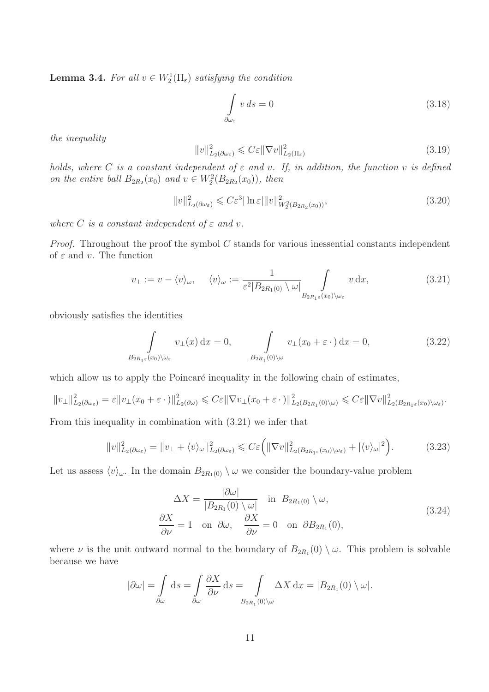**Lemma 3.4.** For all  $v \in W_2^1(\Pi_\varepsilon)$  satisfying the condition

$$
\int_{\partial \omega_{\varepsilon}} v \, ds = 0 \tag{3.18}
$$

the inequality

$$
||v||_{L_2(\partial \omega_\varepsilon)}^2 \leqslant C\varepsilon ||\nabla v||_{L_2(\Pi_\varepsilon)}^2 \tag{3.19}
$$

holds, where C is a constant independent of  $\varepsilon$  and v. If, in addition, the function v is defined on the entire ball  $B_{2R_2}(x_0)$  and  $v \in W_2^2(B_{2R_2}(x_0))$ , then

$$
||v||_{L_2(\partial\omega_{\varepsilon})}^2 \leqslant C\varepsilon^3 |\ln\varepsilon| ||v||_{W_2^2(B_{2R_2}(x_0))}^2,
$$
\n(3.20)

where C is a constant independent of  $\varepsilon$  and v.

*Proof.* Throughout the proof the symbol  $C$  stands for various inessential constants independent of  $\varepsilon$  and  $v$ . The function

$$
v_{\perp} := v - \langle v \rangle_{\omega}, \quad \langle v \rangle_{\omega} := \frac{1}{\varepsilon^2 |B_{2R_1(0)} \setminus \omega|} \int_{B_{2R_1\varepsilon}(x_0) \setminus \omega_{\varepsilon}} v \, dx, \tag{3.21}
$$

obviously satisfies the identities

$$
\int_{B_{2R_1\varepsilon}(x_0)\setminus\omega_{\varepsilon}} v_\perp(x) dx = 0, \qquad \int_{B_{2R_1}(0)\setminus\omega} v_\perp(x_0 + \varepsilon \cdot) dx = 0,
$$
\n(3.22)

which allow us to apply the Poincaré inequality in the following chain of estimates,

$$
||v_\perp||^2_{L_2(\partial\omega_\varepsilon)} = \varepsilon ||v_\perp(x_0 + \varepsilon \cdot)||^2_{L_2(\partial\omega)} \leqslant C\varepsilon ||\nabla v_\perp(x_0 + \varepsilon \cdot)||^2_{L_2(B_{2R_1}(0)\setminus\omega)} \leqslant C\varepsilon ||\nabla v||^2_{L_2(B_{2R_1\varepsilon}(x_0)\setminus\omega_\varepsilon)}.
$$

From this inequality in combination with (3.21) we infer that

$$
||v||_{L_2(\partial\omega_{\varepsilon})}^2 = ||v_\perp + \langle v\rangle_\omega||_{L_2(\partial\omega_{\varepsilon})}^2 \leqslant C\varepsilon \Big( ||\nabla v||_{L_2(B_{2R_1\varepsilon}(x_0)\setminus\omega_{\varepsilon})}^2 + |\langle v\rangle_\omega|^2 \Big). \tag{3.23}
$$

Let us assess  $\langle v \rangle_{\omega}$ . In the domain  $B_{2R_1(0)} \setminus \omega$  we consider the boundary-value problem

$$
\Delta X = \frac{|\partial \omega|}{|B_{2R_1}(0) \setminus \omega|} \text{ in } B_{2R_1(0)} \setminus \omega,
$$
  
\n
$$
\frac{\partial X}{\partial \nu} = 1 \text{ on } \partial \omega, \quad \frac{\partial X}{\partial \nu} = 0 \text{ on } \partial B_{2R_1}(0),
$$
\n(3.24)

where  $\nu$  is the unit outward normal to the boundary of  $B_{2R_1}(0) \setminus \omega$ . This problem is solvable because we have

$$
|\partial \omega| = \int_{\partial \omega} ds = \int_{\partial \omega} \frac{\partial X}{\partial \nu} ds = \int_{B_{2R_1}(0) \setminus \omega} \Delta X dx = |B_{2R_1}(0) \setminus \omega|.
$$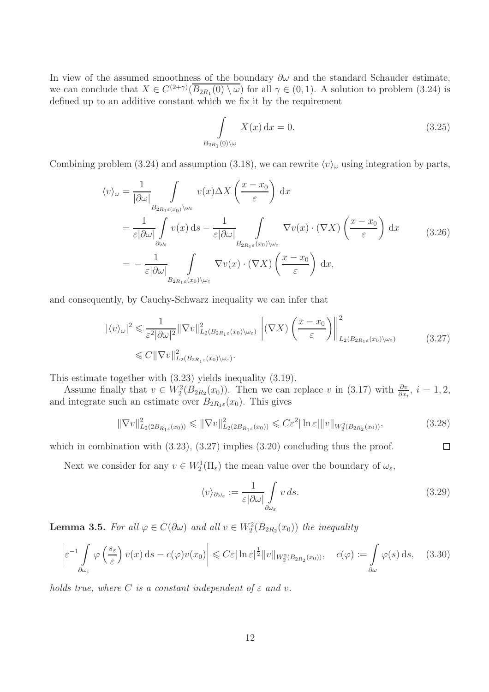In view of the assumed smoothness of the boundary  $\partial \omega$  and the standard Schauder estimate, we can conclude that  $X \in C^{(2+\gamma)}(\overline{B_{2R_1}(0) \setminus \omega})$  for all  $\gamma \in (0,1)$ . A solution to problem  $(3.24)$  is defined up to an additive constant which we fix it by the requirement

$$
\int_{B_{2R_1}(0)\setminus\omega} X(x) dx = 0.
$$
\n(3.25)

Combining problem (3.24) and assumption (3.18), we can rewrite  $\langle v \rangle_{\omega}$  using integration by parts,

$$
\langle v \rangle_{\omega} = \frac{1}{|\partial \omega|} \int_{B_{2R_1\varepsilon(x_0)} \setminus \omega_{\varepsilon}} v(x) \Delta X \left( \frac{x - x_0}{\varepsilon} \right) dx
$$
  
\n
$$
= \frac{1}{\varepsilon |\partial \omega|} \int_{\partial \omega_{\varepsilon}} v(x) ds - \frac{1}{\varepsilon |\partial \omega|} \int_{B_{2R_1\varepsilon}(x_0) \setminus \omega_{\varepsilon}} \nabla v(x) \cdot (\nabla X) \left( \frac{x - x_0}{\varepsilon} \right) dx
$$
(3.26)  
\n
$$
= -\frac{1}{\varepsilon |\partial \omega|} \int_{B_{2R_1\varepsilon}(x_0) \setminus \omega_{\varepsilon}} \nabla v(x) \cdot (\nabla X) \left( \frac{x - x_0}{\varepsilon} \right) dx,
$$

and consequently, by Cauchy-Schwarz inequality we can infer that

$$
|\langle v \rangle_{\omega}|^{2} \leq \frac{1}{\varepsilon^{2} |\partial \omega|^{2}} \|\nabla v\|_{L_{2}(B_{2R_{1}\varepsilon}(x_{0})\setminus\omega_{\varepsilon})}^{2} \left\| (\nabla X) \left( \frac{x - x_{0}}{\varepsilon} \right) \right\|_{L_{2}(B_{2R_{1}\varepsilon}(x_{0})\setminus\omega_{\varepsilon})}^{2} \leq C \|\nabla v\|_{L_{2}(B_{2R_{1}\varepsilon}(x_{0})\setminus\omega_{\varepsilon})}^{2}.
$$
\n(3.27)

This estimate together with (3.23) yields inequality (3.19).

Assume finally that  $v \in W_2^2(B_{2R_2}(x_0))$ . Then we can replace v in (3.17) with  $\frac{\partial v}{\partial x_i}$ ,  $i = 1, 2$ , and integrate such an estimate over  $B_{2R_1\varepsilon}(x_0)$ . This gives

$$
\|\nabla v\|_{L_2(2B_{R_1\varepsilon}(x_0))}^2 \le \|\nabla v\|_{L_2(2B_{R_1\varepsilon}(x_0))}^2 \le C\varepsilon^2 |\ln \varepsilon| \|v\|_{W_2^2(B_{2R_2}(x_0))},\tag{3.28}
$$

which in combination with  $(3.23)$ ,  $(3.27)$  implies  $(3.20)$  concluding thus the proof.

Next we consider for any  $v \in W_2^1(\Pi_\varepsilon)$  the mean value over the boundary of  $\omega_\varepsilon$ ,

$$
\langle v \rangle_{\partial \omega_{\varepsilon}} := \frac{1}{\varepsilon |\partial \omega|} \int_{\partial \omega_{\varepsilon}} v \, ds. \tag{3.29}
$$

 $\Box$ 

**Lemma 3.5.** For all  $\varphi \in C(\partial \omega)$  and all  $v \in W_2^2(B_{2R_2}(x_0))$  the inequality

$$
\left| \varepsilon^{-1} \int_{\partial \omega_{\varepsilon}} \varphi \left( \frac{s_{\varepsilon}}{\varepsilon} \right) v(x) \, ds - c(\varphi) v(x_0) \right| \leqslant C \varepsilon |\ln \varepsilon|^{\frac{1}{2}} \| v \|_{W_2^2(B_{2R_2}(x_0))}, \quad c(\varphi) := \int_{\partial \omega} \varphi(s) \, ds, \quad (3.30)
$$

holds true, where C is a constant independent of  $\varepsilon$  and v.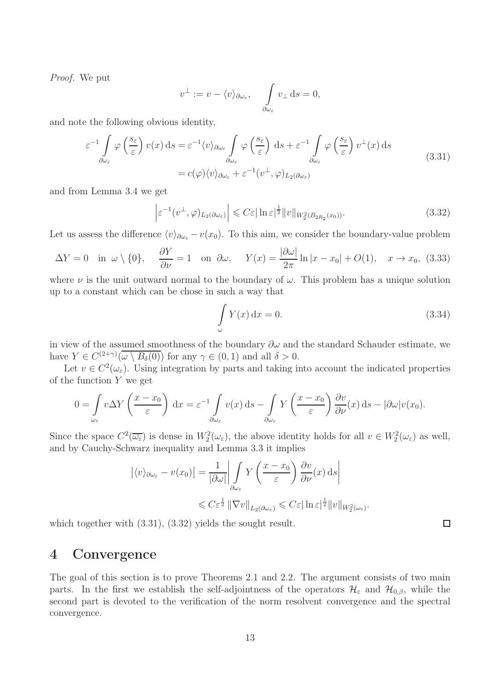Proof. We put

$$
v^{\perp} := v - \langle v \rangle_{\partial \omega_{\varepsilon}}, \quad \int_{\partial \omega_{\varepsilon}} v_{\perp} ds = 0,
$$

and note the following obvious identity,

$$
\varepsilon^{-1} \int_{\partial \omega_{\varepsilon}} \varphi \left( \frac{s_{\varepsilon}}{\varepsilon} \right) v(x) \, ds = \varepsilon^{-1} \langle v \rangle_{\partial \omega_{\varepsilon}} \int_{\partial \omega_{\varepsilon}} \varphi \left( \frac{s_{\varepsilon}}{\varepsilon} \right) \, ds + \varepsilon^{-1} \int_{\partial \omega_{\varepsilon}} \varphi \left( \frac{s_{\varepsilon}}{\varepsilon} \right) v^{\perp}(x) \, ds
$$
\n
$$
= c(\varphi) \langle v \rangle_{\partial \omega_{\varepsilon}} + \varepsilon^{-1} (v^{\perp}, \varphi)_{L_2(\partial \omega_{\varepsilon})}
$$
\n(3.31)

and from Lemma 3.4 we get

$$
\left|\varepsilon^{-1}(v^{\perp},\varphi)_{L_2(\partial\omega_{\varepsilon})}\right| \leqslant C\varepsilon|\ln\varepsilon|^{\frac{1}{2}}\|v\|_{W_2^2(B_{2R_2}(x_0))}.
$$
\n(3.32)

Let us assess the difference  $\langle v \rangle_{\partial \omega_{\varepsilon}} - v(x_0)$ . To this aim, we consider the boundary-value problem

$$
\Delta Y = 0 \quad \text{in } \omega \setminus \{0\}, \quad \frac{\partial Y}{\partial \nu} = 1 \quad \text{on } \partial \omega, \quad Y(x) = \frac{|\partial \omega|}{2\pi} \ln|x - x_0| + O(1), \quad x \to x_0, \tag{3.33}
$$

where  $\nu$  is the unit outward normal to the boundary of  $\omega$ . This problem has a unique solution up to a constant which can be chose in such a way that

$$
\int_{\omega} Y(x) dx = 0.
$$
\n(3.34)

in view of the assumed smoothness of the boundary  $\partial \omega$  and the standard Schauder estimate, we have  $Y \in C^{(2+\gamma)}(\overline{\omega \setminus B_\delta(0)})$  for any  $\gamma \in (0,1)$  and all  $\delta > 0$ .

Let  $v \in C^2(\omega_{\varepsilon})$ . Using integration by parts and taking into account the indicated properties of the function  $Y$  we get

$$
0 = \int_{\omega_{\varepsilon}} v \Delta Y \left( \frac{x - x_0}{\varepsilon} \right) dx = \varepsilon^{-1} \int_{\partial \omega_{\varepsilon}} v(x) ds - \int_{\partial \omega_{\varepsilon}} Y \left( \frac{x - x_0}{\varepsilon} \right) \frac{\partial v}{\partial \nu}(x) ds - |\partial \omega| v(x_0).
$$

Since the space  $C^2(\overline{\omega_{\varepsilon}})$  is dense in  $W_2^2(\omega_{\varepsilon})$ , the above identity holds for all  $v \in W_2^2(\omega_{\varepsilon})$  as well, and by Cauchy-Schwarz inequality and Lemma 3.3 it implies

$$
\left| \langle v \rangle_{\partial \omega_{\varepsilon}} - v(x_0) \right| = \frac{1}{|\partial \omega|} \left| \int_{\partial \omega_{\varepsilon}} Y \left( \frac{x - x_0}{\varepsilon} \right) \frac{\partial v}{\partial \nu}(x) \, ds \right|
$$
  

$$
\leq C \varepsilon^{\frac{1}{2}} \left\| \nabla v \right\|_{L_2(\partial \omega_{\varepsilon})} \leq C \varepsilon |\ln \varepsilon|^{\frac{1}{2}} \| v \|_{W_2^2(\omega_{\varepsilon})}.
$$

which together with  $(3.31)$ ,  $(3.32)$  yields the sought result.

## 4 Convergence

The goal of this section is to prove Theorems 2.1 and 2.2. The argument consists of two main parts. In the first we establish the self-adjointness of the operators  $\mathcal{H}_{\varepsilon}$  and  $\mathcal{H}_{0,\beta}$ , while the second part is devoted to the verification of the norm resolvent convergence and the spectral convergence.

 $\Box$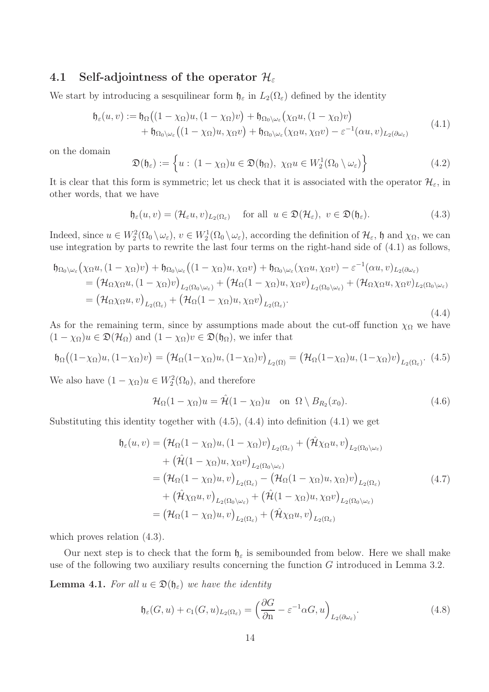## 4.1 Self-adjointness of the operator  $\mathcal{H}_{\varepsilon}$

We start by introducing a sesquilinear form  $\mathfrak{h}_{\varepsilon}$  in  $L_2(\Omega_{\varepsilon})$  defined by the identity

$$
\mathfrak{h}_{\varepsilon}(u,v) := \mathfrak{h}_{\Omega}\big((1-\chi_{\Omega})u,(1-\chi_{\Omega})v\big) + \mathfrak{h}_{\Omega_{0}\setminus\omega_{\varepsilon}}\big(\chi_{\Omega}u,(1-\chi_{\Omega})v\big) \n+ \mathfrak{h}_{\Omega_{0}\setminus\omega_{\varepsilon}}\big((1-\chi_{\Omega})u,\chi_{\Omega}v\big) + \mathfrak{h}_{\Omega_{0}\setminus\omega_{\varepsilon}}(\chi_{\Omega}u,\chi_{\Omega}v) - \varepsilon^{-1}(\alpha u,v)_{L_{2}(\partial\omega_{\varepsilon})}
$$
\n(4.1)

on the domain

$$
\mathfrak{D}(\mathfrak{h}_{\varepsilon}) := \left\{ u : (1 - \chi_{\Omega})u \in \mathfrak{D}(\mathfrak{h}_{\Omega}), \ \chi_{\Omega}u \in W_2^1(\Omega_0 \setminus \omega_{\varepsilon}) \right\}
$$
(4.2)

It is clear that this form is symmetric; let us check that it is associated with the operator  $\mathcal{H}_{\varepsilon}$ , in other words, that we have

$$
\mathfrak{h}_{\varepsilon}(u,v) = (\mathcal{H}_{\varepsilon}u,v)_{L_2(\Omega_{\varepsilon})} \quad \text{ for all } u \in \mathfrak{D}(\mathcal{H}_{\varepsilon}), \ v \in \mathfrak{D}(\mathfrak{h}_{\varepsilon}). \tag{4.3}
$$

Indeed, since  $u \in W_2^2(\Omega_0 \setminus \omega_\varepsilon)$ ,  $v \in W_2^1(\Omega_0 \setminus \omega_\varepsilon)$ , according the definition of  $\mathcal{H}_\varepsilon$ ,  $\mathfrak h$  and  $\chi_{\Omega}$ , we can use integration by parts to rewrite the last four terms on the right-hand side of (4.1) as follows,

$$
\mathfrak{h}_{\Omega_{0}\setminus\omega_{\varepsilon}}(\chi_{\Omega}u,(1-\chi_{\Omega})v)+\mathfrak{h}_{\Omega_{0}\setminus\omega_{\varepsilon}}((1-\chi_{\Omega})u,\chi_{\Omega}v)+\mathfrak{h}_{\Omega_{0}\setminus\omega_{\varepsilon}}(\chi_{\Omega}u,\chi_{\Omega}v)-\varepsilon^{-1}(\alpha u,v)_{L_{2}(\partial\omega_{\varepsilon})}
$$
\n
$$
=(\mathcal{H}_{\Omega}\chi_{\Omega}u,(1-\chi_{\Omega})v)_{L_{2}(\Omega_{0}\setminus\omega_{\varepsilon})}+(\mathcal{H}_{\Omega}(1-\chi_{\Omega})u,\chi_{\Omega}v)_{L_{2}(\Omega_{0}\setminus\omega_{\varepsilon})}+(\mathcal{H}_{\Omega}\chi_{\Omega}u,\chi_{\Omega}v)_{L_{2}(\Omega_{0}\setminus\omega_{\varepsilon})}
$$
\n
$$
=(\mathcal{H}_{\Omega}\chi_{\Omega}u,v)_{L_{2}(\Omega_{\varepsilon})}+(\mathcal{H}_{\Omega}(1-\chi_{\Omega})u,\chi_{\Omega}v)_{L_{2}(\Omega_{\varepsilon})}.
$$
\n(4.4)

As for the remaining term, since by assumptions made about the cut-off function  $\chi_{\Omega}$  we have  $(1 - \chi_{\Omega})u \in \mathfrak{D}(\mathcal{H}_{\Omega})$  and  $(1 - \chi_{\Omega})v \in \mathfrak{D}(\mathfrak{h}_{\Omega})$ , we infer that

$$
\mathfrak{h}_{\Omega}((1-\chi_{\Omega})u,(1-\chi_{\Omega})v)=(\mathcal{H}_{\Omega}(1-\chi_{\Omega})u,(1-\chi_{\Omega})v)_{L_{2}(\Omega)}=(\mathcal{H}_{\Omega}(1-\chi_{\Omega})u,(1-\chi_{\Omega})v)_{L_{2}(\Omega_{\varepsilon})}.
$$
(4.5)

We also have  $(1 - \chi_{\Omega})u \in W_2^2(\Omega_0)$ , and therefore

$$
\mathcal{H}_{\Omega}(1-\chi_{\Omega})u = \mathcal{\hat{H}}(1-\chi_{\Omega})u \quad \text{on} \ \Omega \setminus B_{R_2}(x_0). \tag{4.6}
$$

Substituting this identity together with  $(4.5)$ ,  $(4.4)$  into definition  $(4.1)$  we get

$$
\mathfrak{h}_{\varepsilon}(u,v) = \left(\mathcal{H}_{\Omega}(1-\chi_{\Omega})u, (1-\chi_{\Omega})v\right)_{L_{2}(\Omega_{\varepsilon})} + \left(\hat{\mathcal{H}}\chi_{\Omega}u, v\right)_{L_{2}(\Omega_{0}\setminus\omega_{\varepsilon})} \n+ \left(\hat{\mathcal{H}}(1-\chi_{\Omega})u, \chi_{\Omega}v\right)_{L_{2}(\Omega_{0}\setminus\omega_{\varepsilon})} \n= \left(\mathcal{H}_{\Omega}(1-\chi_{\Omega})u, v\right)_{L_{2}(\Omega_{\varepsilon})} - \left(\mathcal{H}_{\Omega}(1-\chi_{\Omega})u, \chi_{\Omega}\right)v\right)_{L_{2}(\Omega_{\varepsilon})} \n+ \left(\hat{\mathcal{H}}\chi_{\Omega}u, v\right)_{L_{2}(\Omega_{0}\setminus\omega_{\varepsilon})} + \left(\hat{\mathcal{H}}(1-\chi_{\Omega})u, \chi_{\Omega}v\right)_{L_{2}(\Omega_{0}\setminus\omega_{\varepsilon})} \n= \left(\mathcal{H}_{\Omega}(1-\chi_{\Omega})u, v\right)_{L_{2}(\Omega_{\varepsilon})} + \left(\hat{\mathcal{H}}\chi_{\Omega}u, v\right)_{L_{2}(\Omega_{\varepsilon})}
$$
\n(4.7)

which proves relation (4.3).

Our next step is to check that the form  $\mathfrak{h}_{\varepsilon}$  is semibounded from below. Here we shall make use of the following two auxiliary results concerning the function G introduced in Lemma 3.2.

**Lemma 4.1.** For all  $u \in \mathfrak{D}(\mathfrak{h}_{\varepsilon})$  we have the identity

$$
\mathfrak{h}_{\varepsilon}(G, u) + c_1(G, u)_{L_2(\Omega_{\varepsilon})} = \left(\frac{\partial G}{\partial n} - \varepsilon^{-1} \alpha G, u\right)_{L_2(\partial \omega_{\varepsilon})}.
$$
\n(4.8)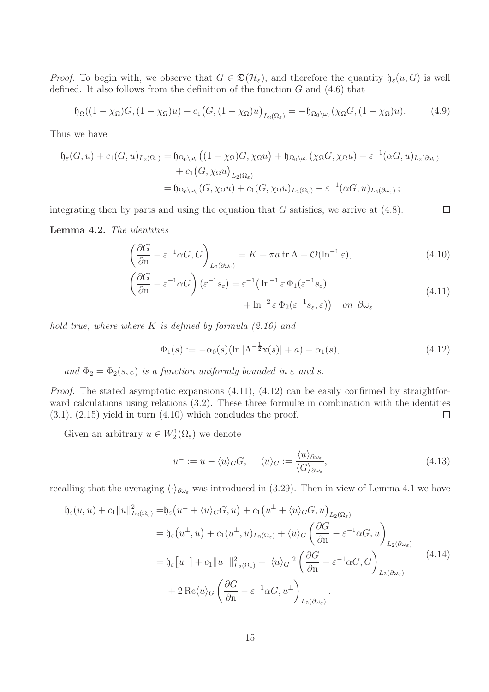*Proof.* To begin with, we observe that  $G \in \mathfrak{D}(\mathcal{H}_{\varepsilon})$ , and therefore the quantity  $\mathfrak{h}_{\varepsilon}(u, G)$  is well defined. It also follows from the definition of the function  $G$  and  $(4.6)$  that

$$
\mathfrak{h}_{\Omega}((1-\chi_{\Omega})G,(1-\chi_{\Omega})u)+c_1\big(G,(1-\chi_{\Omega})u\big)_{L_2(\Omega_{\varepsilon})}=-\mathfrak{h}_{\Omega_0\setminus\omega_{\varepsilon}}(\chi_{\Omega}G,(1-\chi_{\Omega})u).
$$
 (4.9)

Thus we have

$$
\mathfrak{h}_{\varepsilon}(G, u) + c_1(G, u)_{L_2(\Omega_{\varepsilon})} = \mathfrak{h}_{\Omega_0 \setminus \omega_{\varepsilon}} \big( (1 - \chi_{\Omega}) G, \chi_{\Omega} u \big) + \mathfrak{h}_{\Omega_0 \setminus \omega_{\varepsilon}} (\chi_{\Omega} G, \chi_{\Omega} u) - \varepsilon^{-1} (\alpha G, u)_{L_2(\partial \omega_{\varepsilon})}
$$
  
+ 
$$
c_1(G, \chi_{\Omega} u)_{L_2(\Omega_{\varepsilon})}
$$
  
= 
$$
\mathfrak{h}_{\Omega_0 \setminus \omega_{\varepsilon}} (G, \chi_{\Omega} u) + c_1(G, \chi_{\Omega} u)_{L_2(\Omega_{\varepsilon})} - \varepsilon^{-1} (\alpha G, u)_{L_2(\partial \omega_{\varepsilon})};
$$

integrating then by parts and using the equation that  $G$  satisfies, we arrive at  $(4.8)$ .

Lemma 4.2. The identities

$$
\left(\frac{\partial G}{\partial \mathbf{n}} - \varepsilon^{-1} \alpha G, G\right)_{L_2(\partial \omega_\varepsilon)} = K + \pi a \operatorname{tr} A + \mathcal{O}(\ln^{-1} \varepsilon),\tag{4.10}
$$

□

$$
\left(\frac{\partial G}{\partial \mathbf{n}} - \varepsilon^{-1} \alpha G\right) (\varepsilon^{-1} s_{\varepsilon}) = \varepsilon^{-1} \left(\ln^{-1} \varepsilon \, \Phi_1(\varepsilon^{-1} s_{\varepsilon}) + \ln^{-2} \varepsilon \, \Phi_2(\varepsilon^{-1} s_{\varepsilon}, \varepsilon)\right) \quad \text{on } \partial \omega_{\varepsilon} \tag{4.11}
$$

hold true, where where K is defined by formula  $(2.16)$  and

$$
\Phi_1(s) := -\alpha_0(s)(\ln|A^{-\frac{1}{2}}x(s)| + a) - \alpha_1(s), \tag{4.12}
$$

and  $\Phi_2 = \Phi_2(s, \varepsilon)$  is a function uniformly bounded in  $\varepsilon$  and  $s$ .

Proof. The stated asymptotic expansions  $(4.11)$ ,  $(4.12)$  can be easily confirmed by straightforward calculations using relations (3.2). These three formulæ in combination with the identities  $(3.1), (2.15)$  yield in turn  $(4.10)$  which concludes the proof.  $\Box$ 

Given an arbitrary  $u \in W_2^1(\Omega_\varepsilon)$  we denote

$$
u^{\perp} := u - \langle u \rangle_{G} G, \quad \langle u \rangle_{G} := \frac{\langle u \rangle_{\partial \omega_{\varepsilon}}}{\langle G \rangle_{\partial \omega_{\varepsilon}}},\tag{4.13}
$$

recalling that the averaging  $\langle \cdot \rangle_{\partial \omega_{\varepsilon}}$  was introduced in (3.29). Then in view of Lemma 4.1 we have

$$
\mathfrak{h}_{\varepsilon}(u, u) + c_{1} \|u\|_{L_{2}(\Omega_{\varepsilon})}^{2} = \mathfrak{h}_{\varepsilon}\left(u^{\perp} + \langle u \rangle_{G}G, u\right) + c_{1}\left(u^{\perp} + \langle u \rangle_{G}G, u\right)_{L_{2}(\Omega_{\varepsilon})}
$$
\n
$$
= \mathfrak{h}_{\varepsilon}\left(u^{\perp}, u\right) + c_{1}\left(u^{\perp}, u\right)_{L_{2}(\Omega_{\varepsilon})} + \langle u \rangle_{G}\left(\frac{\partial G}{\partial \Omega} - \varepsilon^{-1}\alpha G, u\right)_{L_{2}(\partial \omega_{\varepsilon})}
$$
\n
$$
= \mathfrak{h}_{\varepsilon}\left[u^{\perp}\right] + c_{1} \|u^{\perp}\|_{L_{2}(\Omega_{\varepsilon})}^{2} + |\langle u \rangle_{G}|^{2} \left(\frac{\partial G}{\partial \Omega} - \varepsilon^{-1}\alpha G, G\right)_{L_{2}(\partial \omega_{\varepsilon})}
$$
\n
$$
+ 2 \operatorname{Re}\langle u \rangle_{G}\left(\frac{\partial G}{\partial \Omega} - \varepsilon^{-1}\alpha G, u^{\perp}\right)_{L_{2}(\partial \omega_{\varepsilon})}.
$$
\n(4.14)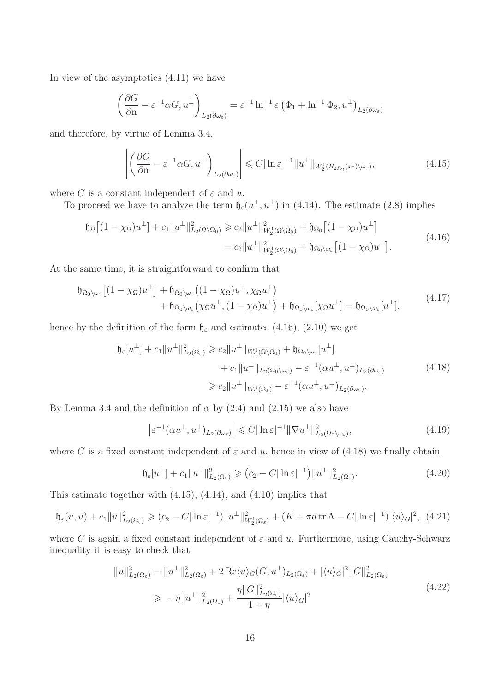In view of the asymptotics (4.11) we have

$$
\left(\frac{\partial G}{\partial \mathbf{n}} - \varepsilon^{-1} \alpha G, u^{\perp}\right)_{L_2(\partial \omega_{\varepsilon})} = \varepsilon^{-1} \ln^{-1} \varepsilon \left(\Phi_1 + \ln^{-1} \Phi_2, u^{\perp}\right)_{L_2(\partial \omega_{\varepsilon})}
$$

and therefore, by virtue of Lemma 3.4,

$$
\left| \left( \frac{\partial G}{\partial \mathbf{n}} - \varepsilon^{-1} \alpha G, u^{\perp} \right)_{L_2(\partial \omega_{\varepsilon})} \right| \leq C |\ln \varepsilon|^{-1} \| u^{\perp} \|_{W_2^1(B_{2R_2}(x_0) \setminus \omega_{\varepsilon})}, \tag{4.15}
$$

where C is a constant independent of  $\varepsilon$  and u.

To proceed we have to analyze the term  $\mathfrak{h}_{\varepsilon}(u^{\perp}, u^{\perp})$  in (4.14). The estimate (2.8) implies

$$
\mathfrak{h}_{\Omega}[(1 - \chi_{\Omega})u^{\perp}] + c_{1}||u^{\perp}||_{L_{2}(\Omega \setminus \Omega_{0})}^{2} \geq c_{2}||u^{\perp}||_{W_{2}^{1}(\Omega \setminus \Omega_{0})}^{2} + \mathfrak{h}_{\Omega_{0}}[(1 - \chi_{\Omega})u^{\perp}]
$$
\n
$$
= c_{2}||u^{\perp}||_{W_{2}^{1}(\Omega \setminus \Omega_{0})}^{2} + \mathfrak{h}_{\Omega_{0} \setminus \omega_{\varepsilon}}[(1 - \chi_{\Omega})u^{\perp}]. \tag{4.16}
$$

At the same time, it is straightforward to confirm that

$$
\mathfrak{h}_{\Omega_0 \setminus \omega_{\varepsilon}} \left[ (1 - \chi_{\Omega}) u^{\perp} \right] + \mathfrak{h}_{\Omega_0 \setminus \omega_{\varepsilon}} \left( (1 - \chi_{\Omega}) u^{\perp}, \chi_{\Omega} u^{\perp} \right) \n+ \mathfrak{h}_{\Omega_0 \setminus \omega_{\varepsilon}} \left( \chi_{\Omega} u^{\perp}, (1 - \chi_{\Omega}) u^{\perp} \right) + \mathfrak{h}_{\Omega_0 \setminus \omega_{\varepsilon}} \left[ \chi_{\Omega} u^{\perp} \right] = \mathfrak{h}_{\Omega_0 \setminus \omega_{\varepsilon}} [u^{\perp}],
$$
\n(4.17)

hence by the definition of the form  $\mathfrak{h}_{\varepsilon}$  and estimates (4.16), (2.10) we get

$$
\mathfrak{h}_{\varepsilon}[u^{\perp}] + c_{1}||u^{\perp}||_{L_{2}(\Omega_{\varepsilon})}^{2} \geqslant c_{2}||u^{\perp}||_{W_{2}^{1}(\Omega\setminus\Omega_{0})} + \mathfrak{h}_{\Omega_{0}\setminus\omega_{\varepsilon}}[u^{\perp}]
$$
  
+ 
$$
c_{1}||u^{\perp}||_{L_{2}(\Omega_{0}\setminus\omega_{\varepsilon})} - \varepsilon^{-1}(\alpha u^{\perp}, u^{\perp})_{L_{2}(\partial\omega_{\varepsilon})}
$$
  

$$
\geqslant c_{2}||u^{\perp}||_{W_{2}^{1}(\Omega_{\varepsilon})} - \varepsilon^{-1}(\alpha u^{\perp}, u^{\perp})_{L_{2}(\partial\omega_{\varepsilon})}.
$$
 (4.18)

By Lemma 3.4 and the definition of  $\alpha$  by (2.4) and (2.15) we also have

$$
\left|\varepsilon^{-1}(\alpha u^{\perp}, u^{\perp})_{L_2(\partial \omega_{\varepsilon})}\right| \leqslant C |\ln \varepsilon|^{-1} \|\nabla u^{\perp}\|_{L_2(\Omega_0 \setminus \omega_{\varepsilon})}^2,
$$
\n(4.19)

where C is a fixed constant independent of  $\varepsilon$  and u, hence in view of (4.18) we finally obtain

$$
\mathfrak{h}_{\varepsilon}[u^{\perp}] + c_1 \|u^{\perp}\|_{L_2(\Omega_{\varepsilon})}^2 \geqslant (c_2 - C |\ln \varepsilon|^{-1}) \|u^{\perp}\|_{L_2(\Omega_{\varepsilon})}^2. \tag{4.20}
$$

This estimate together with (4.15), (4.14), and (4.10) implies that

$$
\mathfrak{h}_{\varepsilon}(u, u) + c_1 \|u\|_{L_2(\Omega_{\varepsilon})}^2 \geqslant (c_2 - C |\ln \varepsilon|^{-1}) \|u^{\perp}\|_{W_2^1(\Omega_{\varepsilon})}^2 + (K + \pi a \operatorname{tr} A - C |\ln \varepsilon|^{-1}) |\langle u \rangle_G|^2, \tag{4.21}
$$

where C is again a fixed constant independent of  $\varepsilon$  and u. Furthermore, using Cauchy-Schwarz inequality it is easy to check that

$$
||u||_{L_2(\Omega_{\varepsilon})}^2 = ||u^{\perp}||_{L_2(\Omega_{\varepsilon})}^2 + 2 \operatorname{Re}\langle u \rangle_G(G, u^{\perp})_{L_2(\Omega_{\varepsilon})} + |\langle u \rangle_G|^2 ||G||_{L_2(\Omega_{\varepsilon})}^2
$$
  
\n
$$
\geq -\eta ||u^{\perp}||_{L_2(\Omega_{\varepsilon})}^2 + \frac{\eta ||G||_{L_2(\Omega_{\varepsilon})}^2}{1 + \eta} |\langle u \rangle_G|^2
$$
\n(4.22)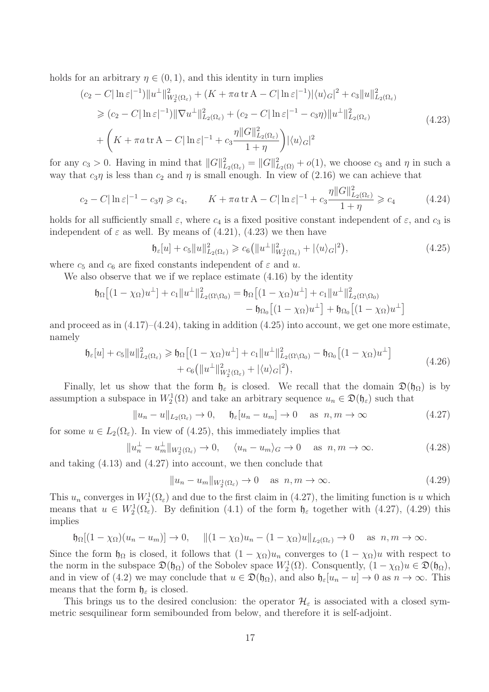holds for an arbitrary  $\eta \in (0,1)$ , and this identity in turn implies

$$
(c_2 - C|\ln \varepsilon|^{-1}) \|u^{\perp}\|_{W_2^1(\Omega_{\varepsilon})}^2 + (K + \pi a \operatorname{tr} A - C|\ln \varepsilon|^{-1}) |\langle u \rangle_G|^2 + c_3 \|u\|_{L_2(\Omega_{\varepsilon})}^2
$$
  
\n
$$
\geq (c_2 - C|\ln \varepsilon|^{-1}) \|\nabla u^{\perp}\|_{L_2(\Omega_{\varepsilon})}^2 + (c_2 - C|\ln \varepsilon|^{-1} - c_3 \eta) \|u^{\perp}\|_{L_2(\Omega_{\varepsilon})}^2
$$
  
\n
$$
+ \left(K + \pi a \operatorname{tr} A - C|\ln \varepsilon|^{-1} + c_3 \frac{\eta \|G\|_{L_2(\Omega_{\varepsilon})}^2}{1 + \eta}\right) |\langle u \rangle_G|^2
$$
\n(4.23)

for any  $c_3 > 0$ . Having in mind that  $||G||_{L_2(\Omega_{\varepsilon})}^2 = ||G||_{L_2(\Omega)}^2 + o(1)$ , we choose  $c_3$  and  $\eta$  in such a way that  $c_3\eta$  is less than  $c_2$  and  $\eta$  is small enough. In view of (2.16) we can achieve that

$$
c_2 - C|\ln \varepsilon|^{-1} - c_3\eta \geqslant c_4, \qquad K + \pi a \operatorname{tr} A - C|\ln \varepsilon|^{-1} + c_3 \frac{\eta ||G||^2_{L_2(\Omega_\varepsilon)}}{1 + \eta} \geqslant c_4 \tag{4.24}
$$

holds for all sufficiently small  $\varepsilon$ , where  $c_4$  is a fixed positive constant independent of  $\varepsilon$ , and  $c_3$  is independent of  $\varepsilon$  as well. By means of (4.21), (4.23) we then have

$$
\mathfrak{h}_{\varepsilon}[u] + c_5 \|u\|_{L_2(\Omega_{\varepsilon})}^2 \geqslant c_6 \left( \|u^{\perp}\|_{W_2^1(\Omega_{\varepsilon})}^2 + |\langle u \rangle_G|^2 \right),\tag{4.25}
$$

where  $c_5$  and  $c_6$  are fixed constants independent of  $\varepsilon$  and u.

We also observe that we if we replace estimate (4.16) by the identity

$$
\mathfrak{h}_{\Omega}\big[(1-\chi_{\Omega})u^{\perp}\big] + c_{1}\|u^{\perp}\|_{L_{2}(\Omega\setminus\Omega_{0})}^{2} = \mathfrak{h}_{\Omega}\big[(1-\chi_{\Omega})u^{\perp}\big] + c_{1}\|u^{\perp}\|_{L_{2}(\Omega\setminus\Omega_{0})}^{2} - \mathfrak{h}_{\Omega_{0}}\big[(1-\chi_{\Omega})u^{\perp}\big] + \mathfrak{h}_{\Omega_{0}}\big[(1-\chi_{\Omega})u^{\perp}\big]
$$

and proceed as in  $(4.17)$ – $(4.24)$ , taking in addition  $(4.25)$  into account, we get one more estimate, namely

$$
\mathfrak{h}_{\varepsilon}[u] + c_{5}||u||_{L_{2}(\Omega_{\varepsilon})}^{2} \geq \mathfrak{h}_{\Omega}\left[(1 - \chi_{\Omega})u^{\perp}\right] + c_{1}||u^{\perp}||_{L_{2}(\Omega\setminus\Omega_{0})}^{2} - \mathfrak{h}_{\Omega_{0}}\left[(1 - \chi_{\Omega})u^{\perp}\right] + c_{6}(||u^{\perp}||_{W_{2}^{1}(\Omega_{\varepsilon})}^{2} + |\langle u \rangle_{G}|^{2}),
$$
\n(4.26)

Finally, let us show that the form  $\mathfrak{h}_{\varepsilon}$  is closed. We recall that the domain  $\mathfrak{D}(\mathfrak{h}_{\Omega})$  is by assumption a subspace in  $W_2^1(\Omega)$  and take an arbitrary sequence  $u_n \in \mathfrak{D}(\mathfrak{h}_{\varepsilon})$  such that

$$
||u_n - u||_{L_2(\Omega_\varepsilon)} \to 0, \quad \mathfrak{h}_\varepsilon[u_n - u_m] \to 0 \quad \text{as } n, m \to \infty \tag{4.27}
$$

for some  $u \in L_2(\Omega_\varepsilon)$ . In view of (4.25), this immediately implies that

$$
||u_n^{\perp} - u_m^{\perp}||_{W_2^1(\Omega_\varepsilon)} \to 0, \quad \langle u_n - u_m \rangle_G \to 0 \quad \text{as } n, m \to \infty.
$$
 (4.28)

and taking (4.13) and (4.27) into account, we then conclude that

$$
||u_n - u_m||_{W_2^1(\Omega_\varepsilon)} \to 0 \quad \text{as } n, m \to \infty.
$$
 (4.29)

This  $u_n$  converges in  $W_2^1(\Omega_\varepsilon)$  and due to the first claim in (4.27), the limiting function is u which means that  $u \in W_2^1(\Omega_\varepsilon)$ . By definition (4.1) of the form  $\mathfrak{h}_{\varepsilon}$  together with (4.27), (4.29) this implies

$$
\mathfrak{h}_{\Omega}[(1-\chi_{\Omega})(u_n-u_m)]\to 0, \quad \|(1-\chi_{\Omega})u_n-(1-\chi_{\Omega})u\|_{L_2(\Omega_{\varepsilon})}\to 0 \quad \text{as } n,m\to\infty.
$$

Since the form  $\mathfrak{h}_{\Omega}$  is closed, it follows that  $(1 - \chi_{\Omega})u_n$  converges to  $(1 - \chi_{\Omega})u$  with respect to the norm in the subspace  $\mathfrak{D}(\mathfrak{h}_{\Omega})$  of the Sobolev space  $W_2^1(\Omega)$ . Consquently,  $(1 - \chi_{\Omega})u \in \mathfrak{D}(\mathfrak{h}_{\Omega})$ , and in view of (4.2) we may conclude that  $u \in \mathfrak{D}(\mathfrak{h}_{\Omega})$ , and also  $\mathfrak{h}_{\varepsilon}[u_n - u] \to 0$  as  $n \to \infty$ . This means that the form  $\mathfrak{h}_{\varepsilon}$  is closed.

This brings us to the desired conclusion: the operator  $\mathcal{H}_{\varepsilon}$  is associated with a closed symmetric sesquilinear form semibounded from below, and therefore it is self-adjoint.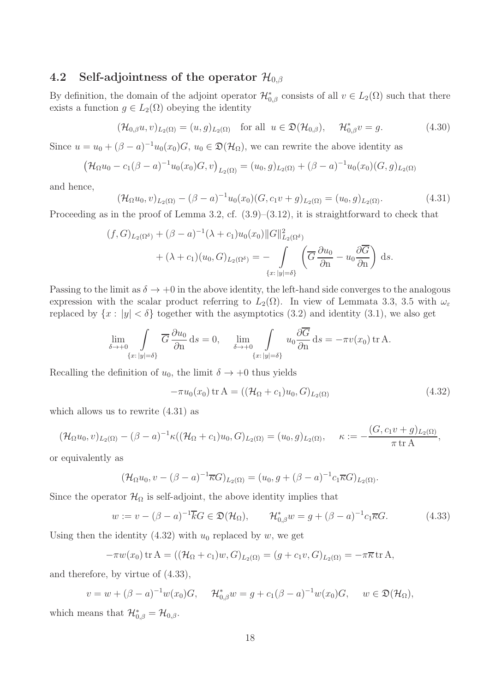## 4.2 Self-adjointness of the operator  $\mathcal{H}_{0,\beta}$

By definition, the domain of the adjoint operator  $\mathcal{H}_{0,\beta}^*$  consists of all  $v \in L_2(\Omega)$  such that there exists a function  $g \in L_2(\Omega)$  obeying the identity

$$
(\mathcal{H}_{0,\beta}u,v)_{L_2(\Omega)} = (u,g)_{L_2(\Omega)} \quad \text{for all} \ \ u \in \mathfrak{D}(\mathcal{H}_{0,\beta}), \quad \mathcal{H}_{0,\beta}^*v = g. \tag{4.30}
$$

Since  $u = u_0 + (\beta - a)^{-1}u_0(x_0)G$ ,  $u_0 \in \mathfrak{D}(\mathcal{H}_{\Omega})$ , we can rewrite the above identity as

$$
(\mathcal{H}_{\Omega}u_0 - c_1(\beta - a)^{-1}u_0(x_0)G, v)_{L_2(\Omega)} = (u_0, g)_{L_2(\Omega)} + (\beta - a)^{-1}u_0(x_0)(G, g)_{L_2(\Omega)}
$$

and hence,

$$
(\mathcal{H}_{\Omega}u_0, v)_{L_2(\Omega)} - (\beta - a)^{-1}u_0(x_0)(G, c_1v + g)_{L_2(\Omega)} = (u_0, g)_{L_2(\Omega)}.
$$
\n(4.31)

Proceeding as in the proof of Lemma 3.2, cf.  $(3.9)$ – $(3.12)$ , it is straightforward to check that

$$
(f, G)_{L_2(\Omega^{\delta})} + (\beta - a)^{-1} (\lambda + c_1) u_0(x_0) ||G||^2_{L_2(\Omega^{\delta})}
$$
  
+ 
$$
(\lambda + c_1) (u_0, G)_{L_2(\Omega^{\delta})} = - \int_{\{x : |y| = \delta\}} \left( \overline{G} \frac{\partial u_0}{\partial n} - u_0 \frac{\partial \overline{G}}{\partial n} \right) ds.
$$

Passing to the limit as  $\delta \to +0$  in the above identity, the left-hand side converges to the analogous expression with the scalar product referring to  $L_2(\Omega)$ . In view of Lemmata 3.3, 3.5 with  $\omega_{\varepsilon}$ replaced by  $\{x : |y| < \delta\}$  together with the asymptotics  $(3.2)$  and identity  $(3.1)$ , we also get

$$
\lim_{\delta \to +0} \int_{\{x: |y| = \delta\}} \overline{G} \frac{\partial u_0}{\partial n} ds = 0, \quad \lim_{\delta \to +0} \int_{\{x: |y| = \delta\}} u_0 \frac{\partial \overline{G}}{\partial n} ds = -\pi v(x_0) \operatorname{tr} A.
$$

Recalling the definition of  $u_0$ , the limit  $\delta \rightarrow +0$  thus yields

$$
-\pi u_0(x_0) \operatorname{tr} A = ((\mathcal{H}_{\Omega} + c_1)u_0, G)_{L_2(\Omega)} \tag{4.32}
$$

which allows us to rewrite (4.31) as

$$
(\mathcal{H}_{\Omega}u_0, v)_{L_2(\Omega)} - (\beta - a)^{-1}\kappa((\mathcal{H}_{\Omega} + c_1)u_0, G)_{L_2(\Omega)} = (u_0, g)_{L_2(\Omega)}, \quad \kappa := -\frac{(G, c_1v + g)_{L_2(\Omega)}}{\pi \operatorname{tr} A},
$$

or equivalently as

$$
(\mathcal{H}_{\Omega}u_0, v - (\beta - a)^{-1}\overline{\kappa}G)_{L_2(\Omega)} = (u_0, g + (\beta - a)^{-1}c_1\overline{\kappa}G)_{L_2(\Omega)}.
$$

Since the operator  $\mathcal{H}_{\Omega}$  is self-adjoint, the above identity implies that

$$
w := v - (\beta - a)^{-1} \overline{k} G \in \mathfrak{D}(\mathcal{H}_{\Omega}), \qquad \mathcal{H}_{0,\beta}^* w = g + (\beta - a)^{-1} c_1 \overline{\kappa} G. \tag{4.33}
$$

Using then the identity  $(4.32)$  with  $u_0$  replaced by w, we get

$$
-\pi w(x_0) \operatorname{tr} A = ((\mathcal{H}_{\Omega} + c_1)w, G)_{L_2(\Omega)} = (g + c_1v, G)_{L_2(\Omega)} = -\pi \overline{\kappa} \operatorname{tr} A,
$$

and therefore, by virtue of (4.33),

$$
v = w + (\beta - a)^{-1} w(x_0) G, \quad \mathcal{H}_{0,\beta}^* w = g + c_1 (\beta - a)^{-1} w(x_0) G, \quad w \in \mathfrak{D}(\mathcal{H}_{\Omega}),
$$

which means that  $\mathcal{H}_{0,\beta}^* = \mathcal{H}_{0,\beta}$ .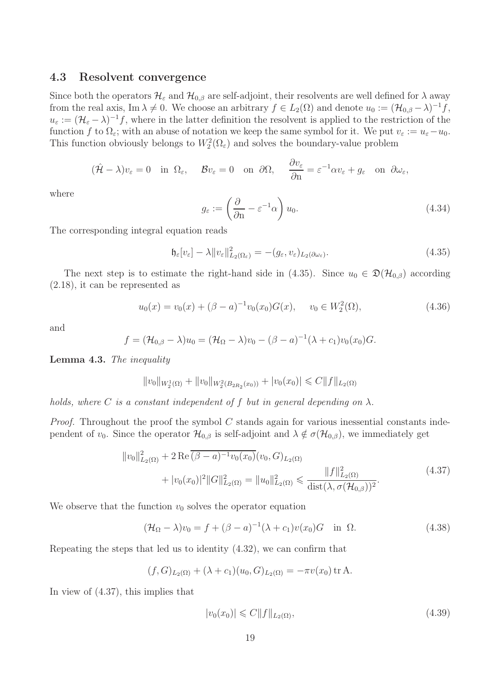#### 4.3 Resolvent convergence

Since both the operators  $\mathcal{H}_{\varepsilon}$  and  $\mathcal{H}_{0,\beta}$  are self-adjoint, their resolvents are well defined for  $\lambda$  away from the real axis, Im  $\lambda \neq 0$ . We choose an arbitrary  $f \in L_2(\Omega)$  and denote  $u_0 := (\mathcal{H}_{0,\beta} - \lambda)^{-1} f$ ,  $u_{\varepsilon} := (\mathcal{H}_{\varepsilon} - \lambda)^{-1} f$ , where in the latter definition the resolvent is applied to the restriction of the function f to  $\Omega_{\varepsilon}$ ; with an abuse of notation we keep the same symbol for it. We put  $v_{\varepsilon} := u_{\varepsilon} - u_0$ . This function obviously belongs to  $W_2^2(\Omega_\varepsilon)$  and solves the boundary-value problem

$$
(\hat{\mathcal{H}} - \lambda)v_{\varepsilon} = 0
$$
 in  $\Omega_{\varepsilon}$ ,  $\mathcal{B}v_{\varepsilon} = 0$  on  $\partial\Omega$ ,  $\frac{\partial v_{\varepsilon}}{\partial n} = \varepsilon^{-1}\alpha v_{\varepsilon} + g_{\varepsilon}$  on  $\partial\omega_{\varepsilon}$ ,

where

$$
g_{\varepsilon} := \left(\frac{\partial}{\partial n} - \varepsilon^{-1} \alpha\right) u_0.
$$
 (4.34)

The corresponding integral equation reads

$$
\mathfrak{h}_{\varepsilon}[v_{\varepsilon}] - \lambda \|v_{\varepsilon}\|_{L_2(\Omega_{\varepsilon})}^2 = -(g_{\varepsilon}, v_{\varepsilon})_{L_2(\partial \omega_{\varepsilon})}.
$$
\n(4.35)

The next step is to estimate the right-hand side in (4.35). Since  $u_0 \in \mathfrak{D}(\mathcal{H}_{0,\beta})$  according (2.18), it can be represented as

$$
u_0(x) = v_0(x) + (\beta - a)^{-1}v_0(x_0)G(x), \quad v_0 \in W_2^2(\Omega), \tag{4.36}
$$

and

$$
f = (\mathcal{H}_{0,\beta} - \lambda)u_0 = (\mathcal{H}_{\Omega} - \lambda)v_0 - (\beta - a)^{-1}(\lambda + c_1)v_0(x_0)G.
$$

Lemma 4.3. The inequality

$$
||v_0||_{W_2^1(\Omega)} + ||v_0||_{W_2^2(B_{2R_2}(x_0))} + |v_0(x_0)| \leq C||f||_{L_2(\Omega)}
$$

holds, where C is a constant independent of f but in general depending on  $\lambda$ .

*Proof.* Throughout the proof the symbol  $C$  stands again for various inessential constants independent of  $v_0$ . Since the operator  $\mathcal{H}_{0,\beta}$  is self-adjoint and  $\lambda \notin \sigma(\mathcal{H}_{0,\beta})$ , we immediately get

$$
||v_0||_{L_2(\Omega)}^2 + 2 \operatorname{Re} \overline{(\beta - a)^{-1} v_0(x_0)} (v_0, G)_{L_2(\Omega)} + |v_0(x_0)|^2 ||G||_{L_2(\Omega)}^2 = ||u_0||_{L_2(\Omega)}^2 \le \frac{||f||_{L_2(\Omega)}^2}{\operatorname{dist}(\lambda, \sigma(\mathcal{H}_{0,\beta}))^2}.
$$
\n(4.37)

We observe that the function  $v_0$  solves the operator equation

$$
(\mathcal{H}_{\Omega} - \lambda)v_0 = f + (\beta - a)^{-1}(\lambda + c_1)v(x_0)G \quad \text{in } \Omega.
$$
 (4.38)

Repeating the steps that led us to identity (4.32), we can confirm that

$$
(f, G)_{L_2(\Omega)} + (\lambda + c_1)(u_0, G)_{L_2(\Omega)} = -\pi v(x_0) \operatorname{tr} A.
$$

In view of (4.37), this implies that

$$
|v_0(x_0)| \leqslant C \|f\|_{L_2(\Omega)},\tag{4.39}
$$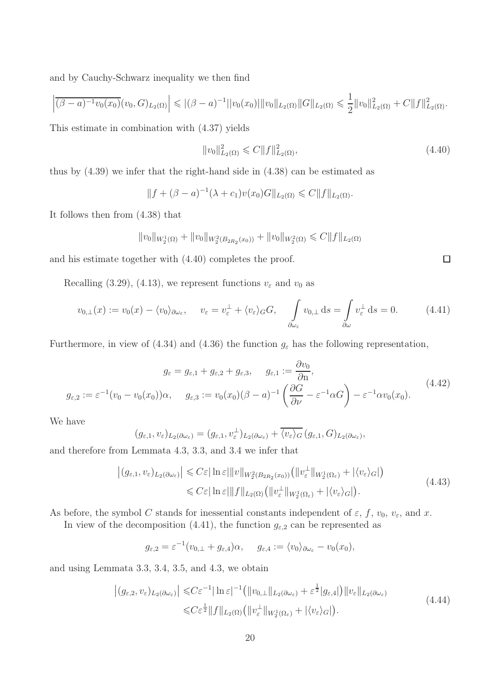and by Cauchy-Schwarz inequality we then find

$$
\left| \overline{(\beta - a)^{-1}v_0(x_0)}(v_0, G)_{L_2(\Omega)} \right| \leqslant |(\beta - a)^{-1}||v_0(x_0)|| ||v_0||_{L_2(\Omega)} ||G||_{L_2(\Omega)} \leqslant \frac{1}{2} ||v_0||^2_{L_2(\Omega)} + C ||f||^2_{L_2(\Omega)}.
$$

This estimate in combination with (4.37) yields

$$
||v_0||_{L_2(\Omega)}^2 \leqslant C||f||_{L_2(\Omega)}^2,\tag{4.40}
$$

thus by (4.39) we infer that the right-hand side in (4.38) can be estimated as

$$
||f + (\beta - a)^{-1}(\lambda + c_1)v(x_0)G||_{L_2(\Omega)} \leq C||f||_{L_2(\Omega)}.
$$

It follows then from (4.38) that

$$
||v_0||_{W_2^1(\Omega)} + ||v_0||_{W_2^2(B_{2R_2}(x_0))} + ||v_0||_{W_2^2(\Omega)} \leq C||f||_{L_2(\Omega)}
$$

and his estimate together with (4.40) completes the proof.

Recalling (3.29), (4.13), we represent functions  $v_{\varepsilon}$  and  $v_0$  as

$$
v_{0,\perp}(x) := v_0(x) - \langle v_0 \rangle_{\partial \omega_{\varepsilon}}, \quad v_{\varepsilon} = v_{\varepsilon}^{\perp} + \langle v_{\varepsilon} \rangle_{G} G, \quad \int_{\partial \omega_{\varepsilon}} v_{0,\perp} ds = \int_{\partial \omega} v_{\varepsilon}^{\perp} ds = 0. \quad (4.41)
$$

Furthermore, in view of (4.34) and (4.36) the function  $g_{\varepsilon}$  has the following representation,

$$
g_{\varepsilon} = g_{\varepsilon,1} + g_{\varepsilon,2} + g_{\varepsilon,3}, \qquad g_{\varepsilon,1} := \frac{\partial v_0}{\partial n},
$$
  

$$
g_{\varepsilon,2} := \varepsilon^{-1}(v_0 - v_0(x_0))\alpha, \qquad g_{\varepsilon,3} := v_0(x_0)(\beta - a)^{-1}\left(\frac{\partial G}{\partial \nu} - \varepsilon^{-1}\alpha G\right) - \varepsilon^{-1}\alpha v_0(x_0).
$$
 (4.42)

We have

$$
(g_{\varepsilon,1},v_{\varepsilon})_{L_2(\partial\omega_{\varepsilon})}=(g_{\varepsilon,1},v_{\varepsilon}^{\perp})_{L_2(\partial\omega_{\varepsilon})}+\overline{\langle v_{\varepsilon}\rangle_G}(g_{\varepsilon,1},G)_{L_2(\partial\omega_{\varepsilon})},
$$

and therefore from Lemmata 4.3, 3.3, and 3.4 we infer that

$$
\left| (g_{\varepsilon,1}, v_{\varepsilon})_{L_2(\partial \omega_{\varepsilon})} \right| \leqslant C \varepsilon |\ln \varepsilon| \|v\|_{W_2^2(B_{2R_2}(x_0))} \left( \|v_{\varepsilon}^{\perp}\|_{W_2^1(\Omega_{\varepsilon})} + |\langle v_{\varepsilon} \rangle_G| \right)
$$
  

$$
\leqslant C \varepsilon |\ln \varepsilon| \|f\|_{L_2(\Omega)} \left( \|v_{\varepsilon}^{\perp}\|_{W_2^1(\Omega_{\varepsilon})} + |\langle v_{\varepsilon} \rangle_G| \right).
$$
 (4.43)

As before, the symbol C stands for inessential constants independent of  $\varepsilon$ ,  $f$ ,  $v_0$ ,  $v_{\varepsilon}$ , and x.

In view of the decomposition (4.41), the function  $g_{\varepsilon,2}$  can be represented as

$$
g_{\varepsilon,2} = \varepsilon^{-1}(v_{0,\perp} + g_{\varepsilon,4})\alpha, \quad g_{\varepsilon,4} := \langle v_0 \rangle_{\partial \omega_{\varepsilon}} - v_0(x_0),
$$

and using Lemmata 3.3, 3.4, 3.5, and 4.3, we obtain

$$
\left| (g_{\varepsilon,2}, v_{\varepsilon})_{L_2(\partial \omega_{\varepsilon})} \right| \leq C \varepsilon^{-1} |\ln \varepsilon|^{-1} \left( \|v_{0,\perp}\|_{L_2(\partial \omega_{\varepsilon})} + \varepsilon^{\frac{1}{2}} |g_{\varepsilon,4}| \right) \|v_{\varepsilon}\|_{L_2(\partial \omega_{\varepsilon})} \leq C \varepsilon^{\frac{1}{2}} \|f\|_{L_2(\Omega)} \left( \|v_{\varepsilon}^{\perp}\|_{W_2^1(\Omega_{\varepsilon})} + |\langle v_{\varepsilon} \rangle_G| \right).
$$
\n(4.44)

 $\Box$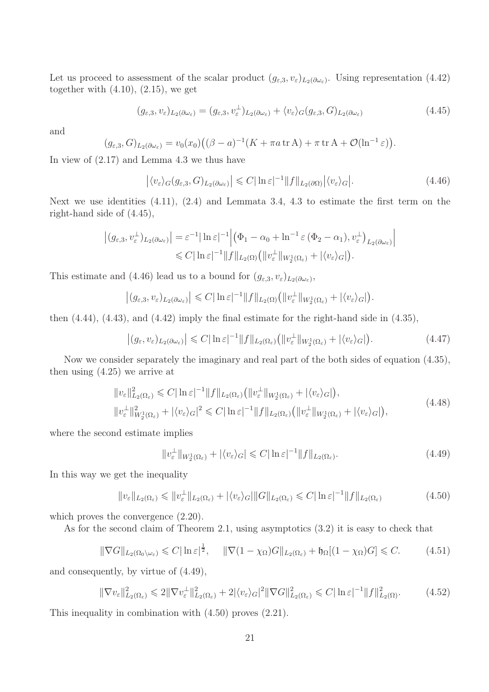Let us proceed to assessment of the scalar product  $(g_{\varepsilon,3}, v_{\varepsilon})_{L_2(\partial \omega_{\varepsilon})}$ . Using representation (4.42) together with  $(4.10)$ ,  $(2.15)$ , we get

$$
(g_{\varepsilon,3}, v_{\varepsilon})_{L_2(\partial \omega_{\varepsilon})} = (g_{\varepsilon,3}, v_{\varepsilon}^{\perp})_{L_2(\partial \omega_{\varepsilon})} + \langle v_{\varepsilon} \rangle_G (g_{\varepsilon,3}, G)_{L_2(\partial \omega_{\varepsilon})}
$$
(4.45)

and

$$
(g_{\varepsilon,3},G)_{L_2(\partial\omega_{\varepsilon})}=v_0(x_0)\big((\beta-a)^{-1}(K+\pi a \operatorname{tr} A)+\pi \operatorname{tr} A+\mathcal{O}(\ln^{-1}\varepsilon)\big).
$$

In view of (2.17) and Lemma 4.3 we thus have

$$
\left| \langle v_{\varepsilon} \rangle_G (g_{\varepsilon,3}, G)_{L_2(\partial \omega_{\varepsilon})} \right| \leqslant C |\ln \varepsilon|^{-1} \| f \|_{L_2(\partial \Omega)} \left| \langle v_{\varepsilon} \rangle_G \right|.
$$
 (4.46)

Next we use identities (4.11), (2.4) and Lemmata 3.4, 4.3 to estimate the first term on the right-hand side of (4.45),

$$
\left| (g_{\varepsilon,3}, v_{\varepsilon}^{\perp})_{L_2(\partial \omega_{\varepsilon})} \right| = \varepsilon^{-1} |\ln \varepsilon|^{-1} \left| \left( \Phi_1 - \alpha_0 + \ln^{-1} \varepsilon (\Phi_2 - \alpha_1), v_{\varepsilon}^{\perp} \right)_{L_2(\partial \omega_{\varepsilon})} \right|
$$
  
\$\leq C |\ln \varepsilon|^{-1} \|f\|\_{L\_2(\Omega)} \left( \|v\_{\varepsilon}^{\perp}\|\_{W\_2^1(\Omega\_{\varepsilon})} + |\langle v\_{\varepsilon} \rangle\_G| \right).

This estimate and (4.46) lead us to a bound for  $(g_{\varepsilon,3}, v_{\varepsilon})_{L_2(\partial\omega_{\varepsilon})}$ ,

$$
\left| (g_{\varepsilon,3}, v_{\varepsilon})_{L_2(\partial \omega_{\varepsilon})} \right| \leqslant C \|\ln \varepsilon|^{-1} \|f\|_{L_2(\Omega)} \big( \|v_{\varepsilon}^{\perp} \|_{W_2^1(\Omega_{\varepsilon})} + |\langle v_{\varepsilon} \rangle_G| \big).
$$

then (4.44), (4.43), and (4.42) imply the final estimate for the right-hand side in (4.35),

$$
\left| (g_{\varepsilon}, v_{\varepsilon})_{L_2(\partial \omega_{\varepsilon})} \right| \leqslant C |\ln \varepsilon|^{-1} \| f \|_{L_2(\Omega_{\varepsilon})} \left( \| v_{\varepsilon}^{\perp} \|_{W_2^1(\Omega_{\varepsilon})} + | \langle v_{\varepsilon} \rangle_G | \right).
$$
 (4.47)

Now we consider separately the imaginary and real part of the both sides of equation (4.35), then using (4.25) we arrive at

$$
\|v_{\varepsilon}\|_{L_2(\Omega_{\varepsilon})}^2 \leq C |\ln \varepsilon|^{-1} \|f\|_{L_2(\Omega_{\varepsilon})} \left( \|v_{\varepsilon}^{\perp}\|_{W_2^1(\Omega_{\varepsilon})} + |\langle v_{\varepsilon} \rangle_G|\right),
$$
  

$$
\|v_{\varepsilon}^{\perp}\|_{W_2^1(\Omega_{\varepsilon})}^2 + |\langle v_{\varepsilon} \rangle_G|^2 \leq C |\ln \varepsilon|^{-1} \|f\|_{L_2(\Omega_{\varepsilon})} \left( \|v_{\varepsilon}^{\perp}\|_{W_2^1(\Omega_{\varepsilon})} + |\langle v_{\varepsilon} \rangle_G|\right),
$$
\n(4.48)

where the second estimate implies

$$
||v_{\varepsilon}^{\perp}||_{W_2^1(\Omega_{\varepsilon})} + |\langle v_{\varepsilon} \rangle_G| \leq C |\ln \varepsilon|^{-1} ||f||_{L_2(\Omega_{\varepsilon})}.
$$
\n(4.49)

In this way we get the inequality

$$
||v_{\varepsilon}||_{L_2(\Omega_{\varepsilon})} \le ||v_{\varepsilon}^{\perp}||_{L_2(\Omega_{\varepsilon})} + |\langle v_{\varepsilon} \rangle_G| ||G||_{L_2(\Omega_{\varepsilon})} \le C |\ln \varepsilon|^{-1} ||f||_{L_2(\Omega_{\varepsilon})}
$$
(4.50)

which proves the convergence  $(2.20)$ .

As for the second claim of Theorem 2.1, using asymptotics (3.2) it is easy to check that

$$
\|\nabla G\|_{L_2(\Omega_0\setminus\omega_\varepsilon)} \leq C |\ln \varepsilon|^{\frac{1}{2}}, \quad \|\nabla (1 - \chi_{\Omega})G\|_{L_2(\Omega_\varepsilon)} + \mathfrak{h}_{\Omega}[(1 - \chi_{\Omega})G] \leq C. \tag{4.51}
$$

and consequently, by virtue of (4.49),

$$
\|\nabla v_{\varepsilon}\|_{L_2(\Omega_{\varepsilon})}^2 \leq 2\|\nabla v_{\varepsilon}^{\perp}\|_{L_2(\Omega_{\varepsilon})}^2 + 2|\langle v_{\varepsilon} \rangle_G|^2 \|\nabla G\|_{L_2(\Omega_{\varepsilon})}^2 \leq C |\ln \varepsilon|^{-1} \|f\|_{L_2(\Omega)}^2. \tag{4.52}
$$

This inequality in combination with (4.50) proves (2.21).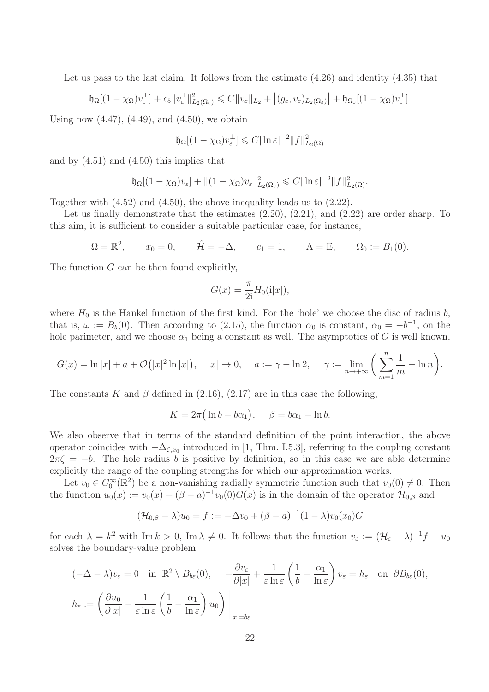Let us pass to the last claim. It follows from the estimate (4.26) and identity (4.35) that

$$
\mathfrak{h}_{\Omega}[(1-\chi_{\Omega})v_{\varepsilon}^{\perp}] + c_{5}||v_{\varepsilon}^{\perp}||_{L_{2}(\Omega_{\varepsilon})}^{2} \leq C||v_{\varepsilon}||_{L_{2}} + |(g_{\varepsilon},v_{\varepsilon})_{L_{2}(\Omega_{\varepsilon})}| + \mathfrak{h}_{\Omega_{0}}[(1-\chi_{\Omega})v_{\varepsilon}^{\perp}].
$$

Using now  $(4.47)$ ,  $(4.49)$ , and  $(4.50)$ , we obtain

$$
\mathfrak{h}_{\Omega}[(1-\chi_{\Omega})v_{\varepsilon}^{\perp}] \leqslant C |\ln \varepsilon|^{-2} \|f\|_{L_2(\Omega)}^2
$$

and by (4.51) and (4.50) this implies that

$$
\mathfrak{h}_{\Omega}[(1-\chi_{\Omega})v_{\varepsilon}] + \|(1-\chi_{\Omega})v_{\varepsilon}\|_{L_2(\Omega_{\varepsilon})}^2 \leqslant C |\ln \varepsilon|^{-2} \|f\|_{L_2(\Omega)}^2.
$$

Together with (4.52) and (4.50), the above inequality leads us to (2.22).

Let us finally demonstrate that the estimates  $(2.20)$ ,  $(2.21)$ , and  $(2.22)$  are order sharp. To this aim, it is sufficient to consider a suitable particular case, for instance,

$$
\Omega = \mathbb{R}^2
$$
,  $x_0 = 0$ ,  $\hat{\mathcal{H}} = -\Delta$ ,  $c_1 = 1$ ,  $A = E$ ,  $\Omega_0 := B_1(0)$ .

The function G can be then found explicitly,

$$
G(x) = \frac{\pi}{2i} H_0(i|x|),
$$

where  $H_0$  is the Hankel function of the first kind. For the 'hole' we choose the disc of radius b, that is,  $\omega := B_b(0)$ . Then according to (2.15), the function  $\alpha_0$  is constant,  $\alpha_0 = -b^{-1}$ , on the hole parimeter, and we choose  $\alpha_1$  being a constant as well. The asymptotics of G is well known,

$$
G(x) = \ln|x| + a + \mathcal{O}(|x|^2 \ln|x|), \quad |x| \to 0, \quad a := \gamma - \ln 2, \quad \gamma := \lim_{n \to +\infty} \left(\sum_{m=1}^n \frac{1}{m} - \ln n\right).
$$

The constants K and  $\beta$  defined in (2.16), (2.17) are in this case the following,

$$
K = 2\pi \left( \ln b - b\alpha_1 \right), \quad \beta = b\alpha_1 - \ln b.
$$

We also observe that in terms of the standard definition of the point interaction, the above operator coincides with  $-\Delta_{\zeta,x_0}$  introduced in [1, Thm. I.5.3], referring to the coupling constant  $2\pi\zeta = -b$ . The hole radius b is positive by definition, so in this case we are able determine explicitly the range of the coupling strengths for which our approximation works.

Let  $v_0 \in C_0^{\infty}(\mathbb{R}^2)$  be a non-vanishing radially symmetric function such that  $v_0(0) \neq 0$ . Then the function  $u_0(x) := v_0(x) + (\beta - a)^{-1}v_0(0)G(x)$  is in the domain of the operator  $\mathcal{H}_{0,\beta}$  and

$$
(\mathcal{H}_{0,\beta} - \lambda)u_0 = f := -\Delta v_0 + (\beta - a)^{-1}(1 - \lambda)v_0(x_0)G
$$

for each  $\lambda = k^2$  with Im  $k > 0$ , Im  $\lambda \neq 0$ . It follows that the function  $v_{\varepsilon} := (\mathcal{H}_{\varepsilon} - \lambda)^{-1} f - u_0$ solves the boundary-value problem

$$
(-\Delta - \lambda)v_{\varepsilon} = 0 \quad \text{in } \mathbb{R}^2 \setminus B_{b\varepsilon}(0), \quad -\frac{\partial v_{\varepsilon}}{\partial |x|} + \frac{1}{\varepsilon \ln \varepsilon} \left(\frac{1}{b} - \frac{\alpha_1}{\ln \varepsilon}\right) v_{\varepsilon} = h_{\varepsilon} \quad \text{on } \partial B_{b\varepsilon}(0),
$$

$$
h_{\varepsilon} := \left(\frac{\partial u_0}{\partial |x|} - \frac{1}{\varepsilon \ln \varepsilon} \left(\frac{1}{b} - \frac{\alpha_1}{\ln \varepsilon}\right) u_0\right) \bigg|_{|x| = b\varepsilon}
$$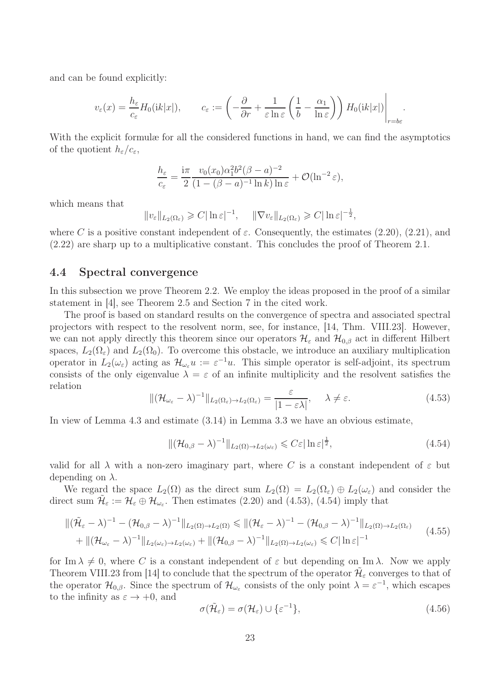and can be found explicitly:

$$
v_{\varepsilon}(x) = \frac{h_{\varepsilon}}{c_{\varepsilon}} H_0(ik|x|), \qquad c_{\varepsilon} := \left(-\frac{\partial}{\partial r} + \frac{1}{\varepsilon \ln \varepsilon} \left(\frac{1}{b} - \frac{\alpha_1}{\ln \varepsilon}\right)\right) H_0(ik|x|)\Big|_{r=b\varepsilon}.
$$

With the explicit formulæ for all the considered functions in hand, we can find the asymptotics of the quotient  $h_{\varepsilon}/c_{\varepsilon}$ ,

$$
\frac{h_{\varepsilon}}{c_{\varepsilon}} = \frac{\mathrm{i}\pi}{2} \frac{v_0(x_0)\alpha_1^2 b^2 (\beta - a)^{-2}}{(1 - (\beta - a)^{-1} \ln k) \ln \varepsilon} + \mathcal{O}(\ln^{-2} \varepsilon),
$$

which means that

$$
||v_{\varepsilon}||_{L_2(\Omega_{\varepsilon})} \geqslant C| \ln \varepsilon |^{-1}, \quad ||\nabla v_{\varepsilon}||_{L_2(\Omega_{\varepsilon})} \geqslant C| \ln \varepsilon |^{-\frac{1}{2}},
$$

where C is a positive constant independent of  $\varepsilon$ . Consequently, the estimates (2.20), (2.21), and (2.22) are sharp up to a multiplicative constant. This concludes the proof of Theorem 2.1.

#### 4.4 Spectral convergence

In this subsection we prove Theorem 2.2. We employ the ideas proposed in the proof of a similar statement in [4], see Theorem 2.5 and Section 7 in the cited work.

The proof is based on standard results on the convergence of spectra and associated spectral projectors with respect to the resolvent norm, see, for instance, [14, Thm. VIII.23]. However, we can not apply directly this theorem since our operators  $\mathcal{H}_{\varepsilon}$  and  $\mathcal{H}_{0,\beta}$  act in different Hilbert spaces,  $L_2(\Omega_\varepsilon)$  and  $L_2(\Omega_0)$ . To overcome this obstacle, we introduce an auxiliary multiplication operator in  $L_2(\omega_\varepsilon)$  acting as  $\mathcal{H}_{\omega_\varepsilon}u := \varepsilon^{-1}u$ . This simple operator is self-adjoint, its spectrum consists of the only eigenvalue  $\lambda = \varepsilon$  of an infinite multiplicity and the resolvent satisfies the relation

$$
\|(\mathcal{H}_{\omega_{\varepsilon}} - \lambda)^{-1}\|_{L_2(\Omega_{\varepsilon}) \to L_2(\Omega_{\varepsilon})} = \frac{\varepsilon}{|1 - \varepsilon \lambda|}, \quad \lambda \neq \varepsilon.
$$
\n(4.53)

In view of Lemma 4.3 and estimate (3.14) in Lemma 3.3 we have an obvious estimate,

$$
\|(\mathcal{H}_{0,\beta} - \lambda)^{-1}\|_{L_2(\Omega) \to L_2(\omega_\varepsilon)} \leqslant C\varepsilon |\ln \varepsilon|^{\frac{1}{2}},\tag{4.54}
$$

valid for all  $\lambda$  with a non-zero imaginary part, where C is a constant independent of  $\varepsilon$  but depending on  $\lambda$ .

We regard the space  $L_2(\Omega)$  as the direct sum  $L_2(\Omega) = L_2(\Omega_\varepsilon) \oplus L_2(\omega_\varepsilon)$  and consider the direct sum  $\tilde{\mathcal{H}}_{\varepsilon} := \mathcal{H}_{\varepsilon} \oplus \mathcal{H}_{\omega_{\varepsilon}}$ . Then estimates (2.20) and (4.53), (4.54) imply that

$$
\|(\tilde{\mathcal{H}}_{\varepsilon}-\lambda)^{-1}-(\mathcal{H}_{0,\beta}-\lambda)^{-1}\|_{L_2(\Omega)\to L_2(\Omega)} \leq \|(\mathcal{H}_{\varepsilon}-\lambda)^{-1}-(\mathcal{H}_{0,\beta}-\lambda)^{-1}\|_{L_2(\Omega)\to L_2(\Omega_{\varepsilon})}
$$
  
+
$$
\|(\mathcal{H}_{\omega_{\varepsilon}}-\lambda)^{-1}\|_{L_2(\omega_{\varepsilon})\to L_2(\omega_{\varepsilon})} + \|(\mathcal{H}_{0,\beta}-\lambda)^{-1}\|_{L_2(\Omega)\to L_2(\omega_{\varepsilon})} \leq C|\ln \varepsilon|^{-1}
$$
(4.55)

for Im  $\lambda \neq 0$ , where C is a constant independent of  $\varepsilon$  but depending on Im  $\lambda$ . Now we apply Theorem VIII.23 from [14] to conclude that the spectrum of the operator  $\tilde{\mathcal{H}}_{\varepsilon}$  converges to that of the operator  $\mathcal{H}_{0,\beta}$ . Since the spectrum of  $\mathcal{H}_{\omega_{\varepsilon}}$  consists of the only point  $\lambda = \varepsilon^{-1}$ , which escapes to the infinity as  $\varepsilon \to +0$ , and

$$
\sigma(\tilde{\mathcal{H}}_{\varepsilon}) = \sigma(\mathcal{H}_{\varepsilon}) \cup \{\varepsilon^{-1}\},\tag{4.56}
$$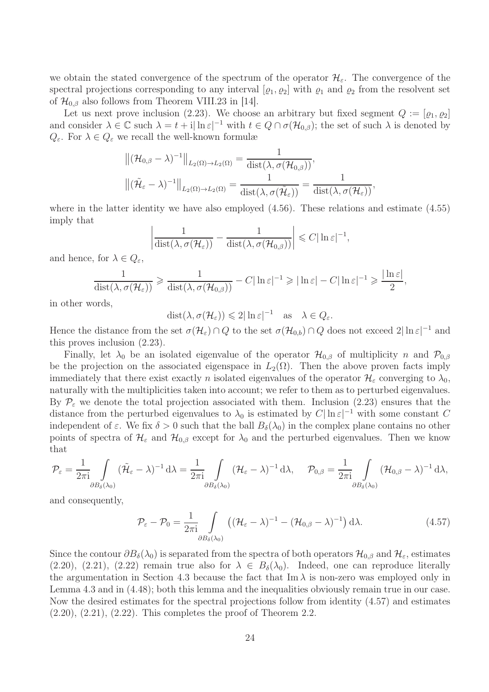we obtain the stated convergence of the spectrum of the operator  $\mathcal{H}_{\varepsilon}$ . The convergence of the spectral projections corresponding to any interval  $[\varrho_1, \varrho_2]$  with  $\varrho_1$  and  $\varrho_2$  from the resolvent set of  $\mathcal{H}_{0,\beta}$  also follows from Theorem VIII.23 in [14].

Let us next prove inclusion (2.23). We choose an arbitrary but fixed segment  $Q := [\rho_1, \rho_2]$ and consider  $\lambda \in \mathbb{C}$  such  $\lambda = t + i |\ln \varepsilon|^{-1}$  with  $t \in Q \cap \sigma(\mathcal{H}_{0,\beta})$ ; the set of such  $\lambda$  is denoted by  $Q_{\varepsilon}$ . For  $\lambda \in Q_{\varepsilon}$  we recall the well-known formulæ

$$
\|(\mathcal{H}_{0,\beta}-\lambda)^{-1}\|_{L_2(\Omega)\to L_2(\Omega)} = \frac{1}{\text{dist}(\lambda,\sigma(\mathcal{H}_{0,\beta}))},
$$
  

$$
\|(\tilde{\mathcal{H}}_{\varepsilon}-\lambda)^{-1}\|_{L_2(\Omega)\to L_2(\Omega)} = \frac{1}{\text{dist}(\lambda,\sigma(\tilde{\mathcal{H}}_{\varepsilon}))} = \frac{1}{\text{dist}(\lambda,\sigma(\mathcal{H}_{\varepsilon}))},
$$

where in the latter identity we have also employed  $(4.56)$ . These relations and estimate  $(4.55)$ imply that

$$
\left|\frac{1}{\text{dist}(\lambda,\sigma(\mathcal{H}_{\varepsilon}))}-\frac{1}{\text{dist}(\lambda,\sigma(\mathcal{H}_{0,\beta}))}\right|\leqslant C|\ln \varepsilon|^{-1},
$$

and hence, for  $\lambda \in Q_{\varepsilon}$ ,

$$
\frac{1}{\text{dist}(\lambda,\sigma(\mathcal{H}_{\varepsilon}))} \geq \frac{1}{\text{dist}(\lambda,\sigma(\mathcal{H}_{0,\beta}))} - C|\ln \varepsilon|^{-1} \geqslant |\ln \varepsilon| - C|\ln \varepsilon|^{-1} \geqslant \frac{|\ln \varepsilon|}{2},
$$

in other words,

 $dist(\lambda, \sigma(\mathcal{H}_{\varepsilon})) \leq 2|\ln \varepsilon|^{-1} \text{ as } \lambda \in Q_{\varepsilon}.$ 

Hence the distance from the set  $\sigma(\mathcal{H}_{\varepsilon}) \cap Q$  to the set  $\sigma(\mathcal{H}_{0,b}) \cap Q$  does not exceed  $2|\ln \varepsilon|^{-1}$  and this proves inclusion (2.23).

Finally, let  $\lambda_0$  be an isolated eigenvalue of the operator  $\mathcal{H}_{0,\beta}$  of multiplicity n and  $\mathcal{P}_{0,\beta}$ be the projection on the associated eigenspace in  $L_2(\Omega)$ . Then the above proven facts imply immediately that there exist exactly n isolated eigenvalues of the operator  $\mathcal{H}_{\varepsilon}$  converging to  $\lambda_0$ , naturally with the multiplicities taken into account; we refer to them as to perturbed eigenvalues. By  $\mathcal{P}_{\varepsilon}$  we denote the total projection associated with them. Inclusion (2.23) ensures that the distance from the perturbed eigenvalues to  $\lambda_0$  is estimated by  $C|\ln \varepsilon|^{-1}$  with some constant C independent of  $\varepsilon$ . We fix  $\delta > 0$  such that the ball  $B_{\delta}(\lambda_0)$  in the complex plane contains no other points of spectra of  $\mathcal{H}_{\varepsilon}$  and  $\mathcal{H}_{0,\beta}$  except for  $\lambda_0$  and the perturbed eigenvalues. Then we know that

$$
\mathcal{P}_{\varepsilon} = \frac{1}{2\pi \mathrm{i}} \int \limits_{\partial B_{\delta}(\lambda_0)} (\tilde{\mathcal{H}}_{\varepsilon} - \lambda)^{-1} \, \mathrm{d}\lambda = \frac{1}{2\pi \mathrm{i}} \int \limits_{\partial B_{\delta}(\lambda_0)} (\mathcal{H}_{\varepsilon} - \lambda)^{-1} \, \mathrm{d}\lambda, \quad \mathcal{P}_{0,\beta} = \frac{1}{2\pi \mathrm{i}} \int \limits_{\partial B_{\delta}(\lambda_0)} (\mathcal{H}_{0,\beta} - \lambda)^{-1} \, \mathrm{d}\lambda,
$$

and consequently,

$$
\mathcal{P}_{\varepsilon} - \mathcal{P}_{0} = \frac{1}{2\pi i} \int_{\partial B_{\delta}(\lambda_{0})} \left( (\mathcal{H}_{\varepsilon} - \lambda)^{-1} - (\mathcal{H}_{0,\beta} - \lambda)^{-1} \right) d\lambda.
$$
 (4.57)

Since the contour  $\partial B_\delta(\lambda_0)$  is separated from the spectra of both operators  $\mathcal{H}_{0,\beta}$  and  $\mathcal{H}_{\varepsilon}$ , estimates  $(2.20), (2.21), (2.22)$  remain true also for  $\lambda \in B_{\delta}(\lambda_0)$ . Indeed, one can reproduce literally the argumentation in Section 4.3 because the fact that Im  $\lambda$  is non-zero was employed only in Lemma 4.3 and in (4.48); both this lemma and the inequalities obviously remain true in our case. Now the desired estimates for the spectral projections follow from identity (4.57) and estimates  $(2.20), (2.21), (2.22).$  This completes the proof of Theorem 2.2.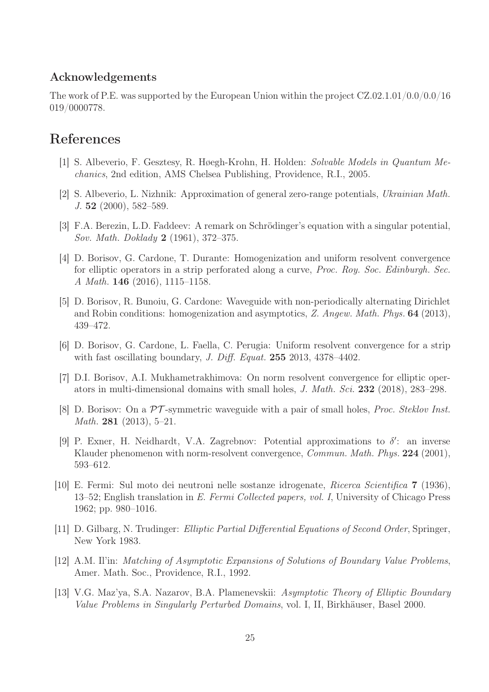### Acknowledgements

The work of P.E. was supported by the European Union within the project CZ.02.1.01/0.0/0.0/16 019/0000778.

## References

- [1] S. Albeverio, F. Gesztesy, R. Høegh-Krohn, H. Holden: Solvable Models in Quantum Mechanics, 2nd edition, AMS Chelsea Publishing, Providence, R.I., 2005.
- [2] S. Albeverio, L. Nizhnik: Approximation of general zero-range potentials, Ukrainian Math. J. 52 (2000), 582–589.
- [3] F.A. Berezin, L.D. Faddeev: A remark on Schrödinger's equation with a singular potential, Sov. Math. Doklady 2 (1961), 372–375.
- [4] D. Borisov, G. Cardone, T. Durante: Homogenization and uniform resolvent convergence for elliptic operators in a strip perforated along a curve, Proc. Roy. Soc. Edinburgh. Sec. A Math. 146 (2016), 1115–1158.
- [5] D. Borisov, R. Bunoiu, G. Cardone: Waveguide with non-periodically alternating Dirichlet and Robin conditions: homogenization and asymptotics, Z. Angew. Math. Phys. 64 (2013), 439–472.
- [6] D. Borisov, G. Cardone, L. Faella, C. Perugia: Uniform resolvent convergence for a strip with fast oscillating boundary, *J. Diff. Equat.* **255** 2013, 4378-4402.
- [7] D.I. Borisov, A.I. Mukhametrakhimova: On norm resolvent convergence for elliptic operators in multi-dimensional domains with small holes, J. Math. Sci. 232 (2018), 283–298.
- [8] D. Borisov: On a PT -symmetric waveguide with a pair of small holes, Proc. Steklov Inst. Math. 281 (2013), 5–21.
- [9] P. Exner, H. Neidhardt, V.A. Zagrebnov: Potential approximations to  $\delta'$ : an inverse Klauder phenomenon with norm-resolvent convergence, *Commun. Math. Phys.* 224 (2001), 593–612.
- [10] E. Fermi: Sul moto dei neutroni nelle sostanze idrogenate, Ricerca Scientifica 7 (1936), 13–52; English translation in E. Fermi Collected papers, vol. I, University of Chicago Press 1962; pp. 980–1016.
- [11] D. Gilbarg, N. Trudinger: Elliptic Partial Differential Equations of Second Order, Springer, New York 1983.
- [12] A.M. Il'in: Matching of Asymptotic Expansions of Solutions of Boundary Value Problems, Amer. Math. Soc., Providence, R.I., 1992.
- [13] V.G. Maz'ya, S.A. Nazarov, B.A. Plamenevskii: Asymptotic Theory of Elliptic Boundary Value Problems in Singularly Perturbed Domains, vol. I, II, Birkhäuser, Basel 2000.